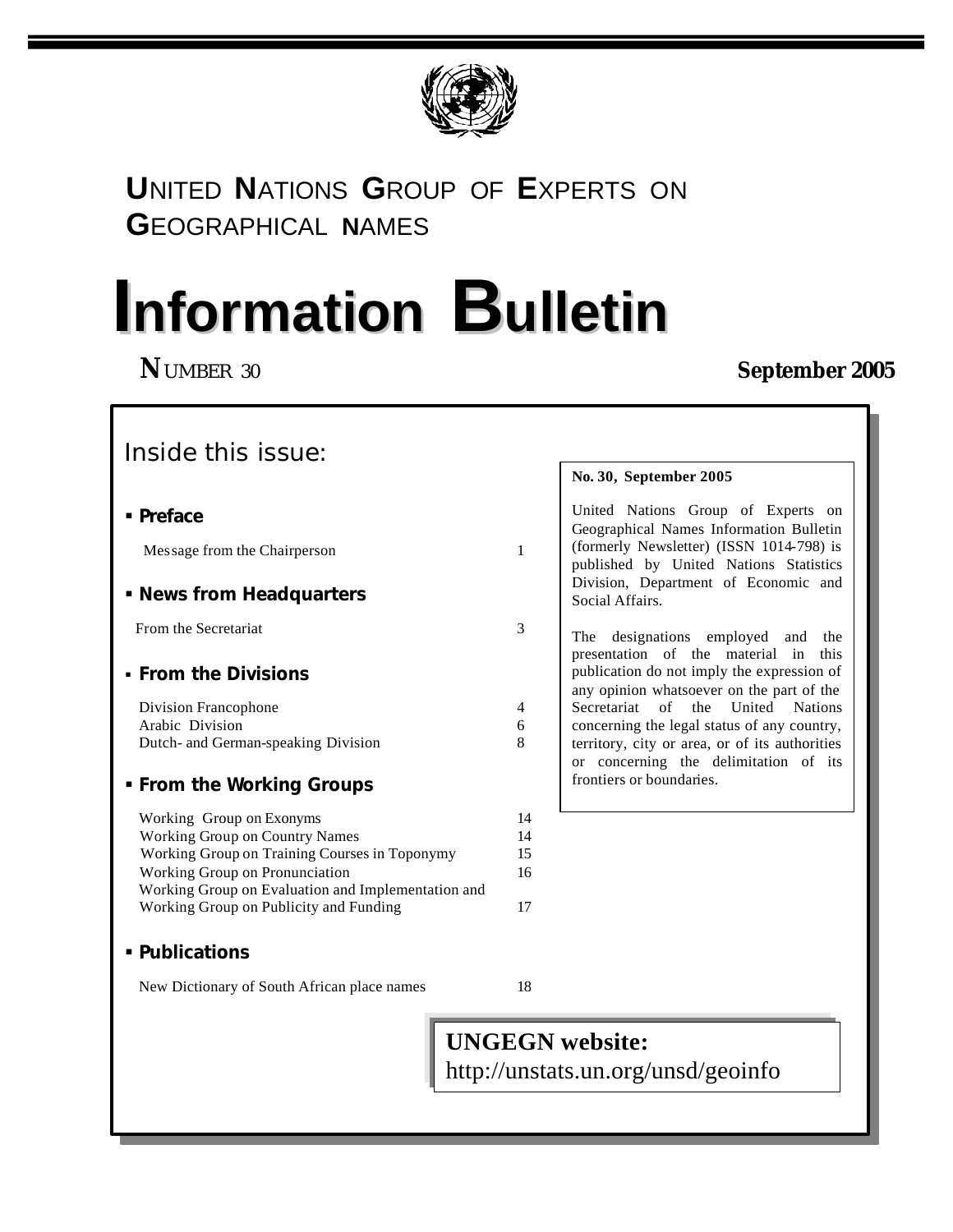

## **U**NITED **N**ATIONS **G**ROUP OF **E**XPERTS ON **G**EOGRAPHICAL **N**AMES

# **Information Bulletin**

## **N**UMBER 30 **September 2005**

## Inside this issue:

| ■ Preface                           |   | United Nations Group of Experts on<br>Geographical Names Information Bulletin           |
|-------------------------------------|---|-----------------------------------------------------------------------------------------|
| Message from the Chairperson        | 1 | (formerly Newsletter) (ISSN 1014-798) is<br>published by United Nations Statistics      |
| • News from Headquarters            |   | Division, Department of Economic and<br>Social Affairs.                                 |
| From the Secretariat                | 3 | designations employed and<br>The<br>the<br>presentation of the material in this         |
| • From the Divisions                |   | publication do not imply the expression of<br>any opinion whatsoever on the part of the |
| Division Francophone                | 4 | Secretariat of the United Nations                                                       |
| Arabic Division                     | 6 | concerning the legal status of any country,                                             |
| Dutch- and German-speaking Division | 8 | territory, city or area, or of its authorities<br>or concerning the delimitation of its |
| • From the Working Groups           |   | frontiers or boundaries.                                                                |

#### Working Group on Exonyms 14 Working Group on Country Names 14 Working Group on Training Courses in Toponymy 15 Working Group on Pronunciation 16 Working Group on Evaluation and Implementation and Working Group on Publicity and Funding 17

#### ß **Publications**

New Dictionary of South African place names 18

# **UNGEGN website:**

http://unstats.un.org/unsd/geoinfo

**No. 30, September 2005**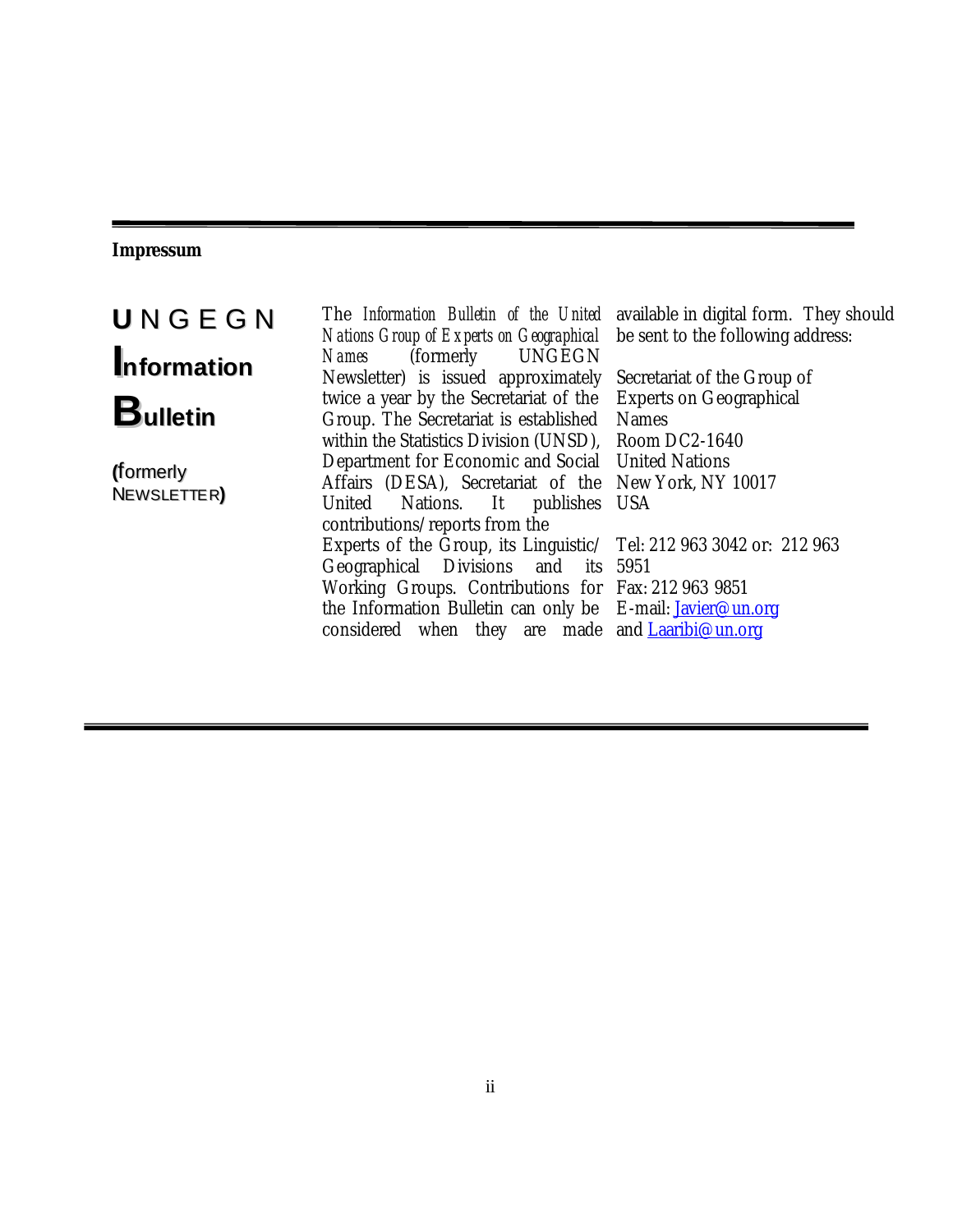#### **Impressum**

**U** N G E G N **Information Bulletin**

**(**formerly NEWSLETTER**)** The *Information Bulletin of the United Nations Group of Experts on Geographical Names* (formerly UNGEGN Newsletter) is issued approximately twice a year by the Secretariat of the Group. The Secretariat is established within the Statistics Division (UNSD), Department for Economic and Social Affairs (DESA), Secretariat of the New York, NY 10017 United Nations. It publishes USA contributions/reports from the Experts of the Group, its Linguistic/ Tel: 212 963 3042 or: 212 963 Geographical Divisions and Working Groups. Contributions for Fax: 212 963 9851 the Information Bulletin can only be E-mail: <u>Javier@un.or</u>g considered when they are made and $\rm \frac{Laaribi@un.org}{Laaribi@un.org}$ its 5951

available in digital form. They should be sent to the following address:

Secretariat of the Group of Experts on Geographical Names Room DC2-1640 United Nations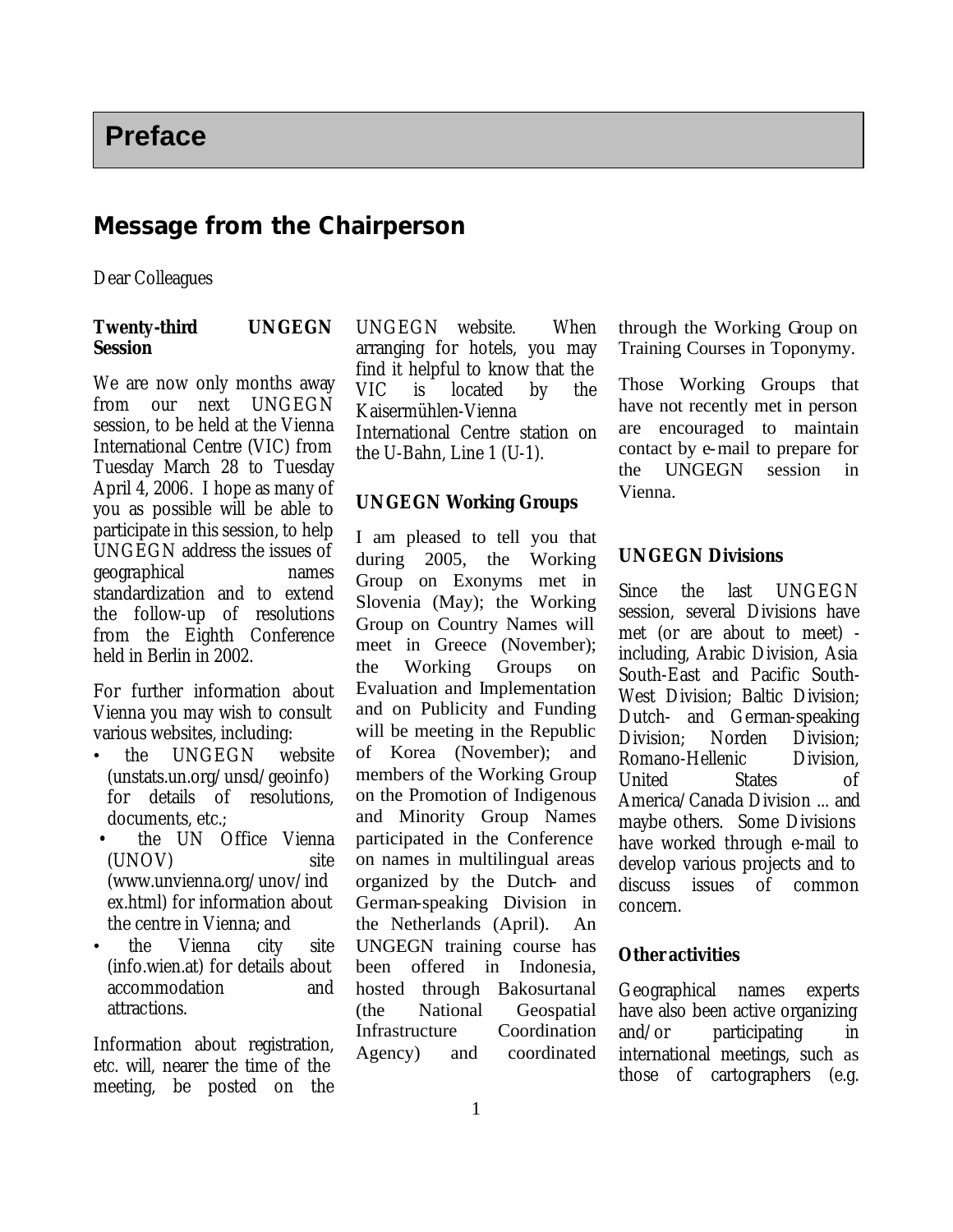### **Message from the Chairperson**

Dear Colleagues

#### **Twenty-third UNGEGN Session**

We are now only months away from our next UNGEGN session, to be held at the Vienna International Centre (VIC) from Tuesday March 28 to Tuesday April 4, 2006. I hope as many of you as possible will be able to participate in this session, to help UNGEGN address the issues of geographical names standardization and to extend the follow-up of resolutions from the Eighth Conference held in Berlin in 2002.

For further information about Vienna you may wish to consult various websites, including:

- the UNGEGN website (unstats.un.org/unsd/geoinfo) for details of resolutions, documents, etc.;
- the UN Office Vienna (UNOV) site (www.unvienna.org/unov/ind ex.html) for information about the centre in Vienna; and
- the Vienna city site (info.wien.at) for details about accommodation and attractions.

Information about registration, etc. will, nearer the time of the meeting, be posted on the UNGEGN website. When arranging for hotels, you may find it helpful to know that the VIC is located by the Kaisermühlen-Vienna International Centre station on the U-Bahn, Line 1 (U-1).

#### **UNGEGN Working Groups**

I am pleased to tell you that during 2005, the Working Group on Exonyms met in Slovenia (May); the Working Group on Country Names will meet in Greece (November); the Working Groups on Evaluation and Implementation and on Publicity and Funding will be meeting in the Republic of Korea (November); and members of the Working Group on the Promotion of Indigenous and Minority Group Names participated in the Conference on names in multilingual areas organized by the Dutch- and German-speaking Division in the Netherlands (April). An UNGEGN training course has been offered in Indonesia, hosted through Bakosurtanal (the National Geospatial Infrastructure Coordination Agency) and coordinated

through the Working Group on Training Courses in Toponymy.

Those Working Groups that have not recently met in person are encouraged to maintain contact by e-mail to prepare for the UNGEGN session in Vienna.

#### **UNGEGN Divisions**

Since the last UNGEGN session, several Divisions have met (or are about to meet) including, Arabic Division, Asia South-East and Pacific South-West Division; Baltic Division; Dutch- and German-speaking Division; Norden Division; Romano-Hellenic Division, United States of America/Canada Division ... and maybe others. Some Divisions have worked through e-mail to develop various projects and to discuss issues of common concern.

#### **Other activities**

Geographical names experts have also been active organizing and/or participating in international meetings, such as those of cartographers (e.g.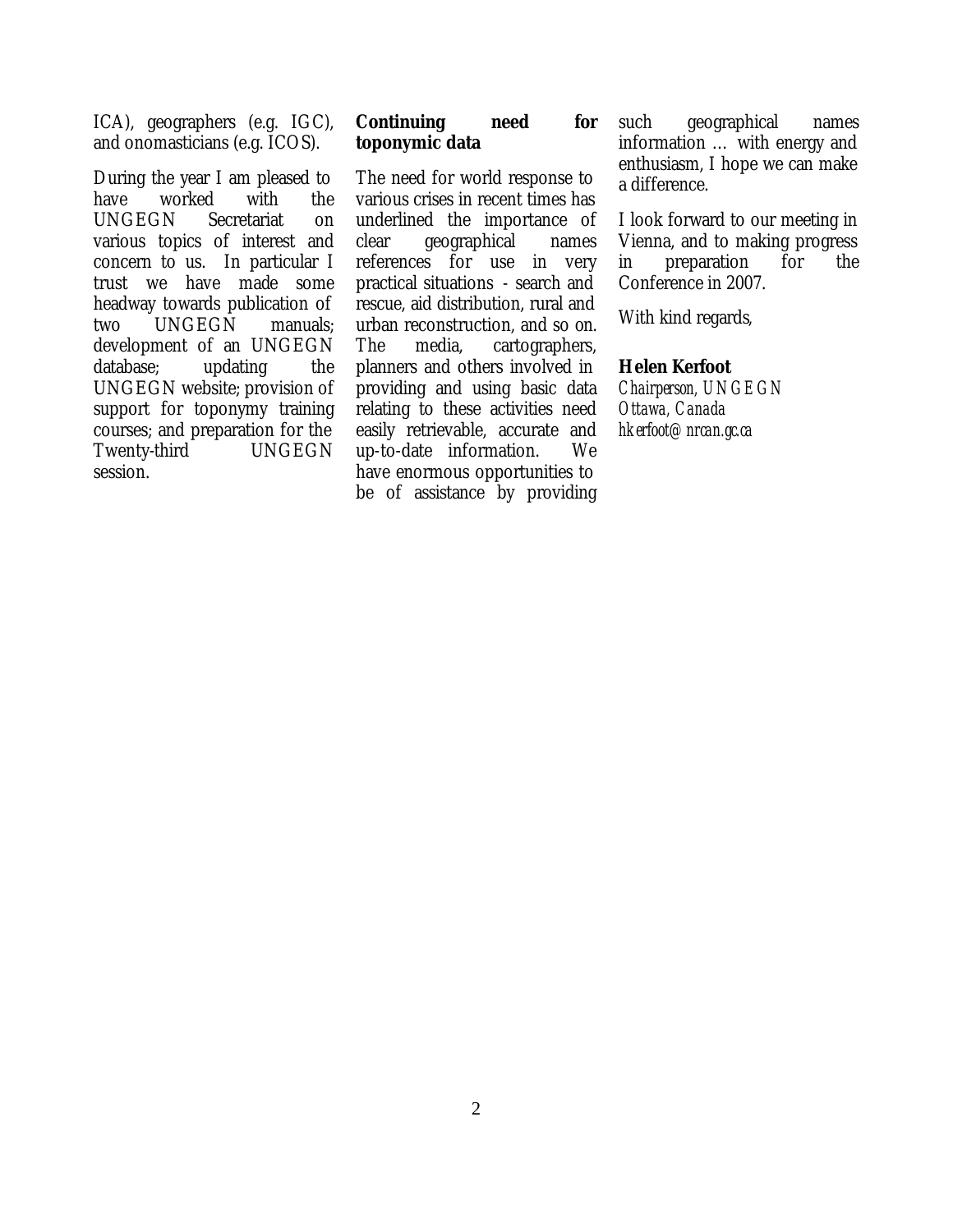ICA), geographers (e.g. IGC), and onomasticians (e.g. ICOS).

During the year I am pleased to have worked with the UNGEGN Secretariat on various topics of interest and concern to us. In particular I trust we have made some headway towards publication of two UNGEGN manuals; development of an UNGEGN database; updating the UNGEGN website; provision of support for toponymy training courses; and preparation for the Twenty-third UNGEGN session.

#### **Continuing need for toponymic data**

The need for world response to various crises in recent times has underlined the importance of clear geographical names references for use in very practical situations - search and rescue, aid distribution, rural and urban reconstruction, and so on. The media, cartographers, planners and others involved in providing and using basic data relating to these activities need easily retrievable, accurate and up-to-date information. We have enormous opportunities to be of assistance by providing such geographical names information … with energy and enthusiasm, I hope we can make a difference.

I look forward to our meeting in Vienna, and to making progress in preparation for the Conference in 2007.

With kind regards,

#### **Helen Kerfoot**

*Chairperson, UNGEGN Ottawa, Canada hkerfoot@nrcan.gc.ca*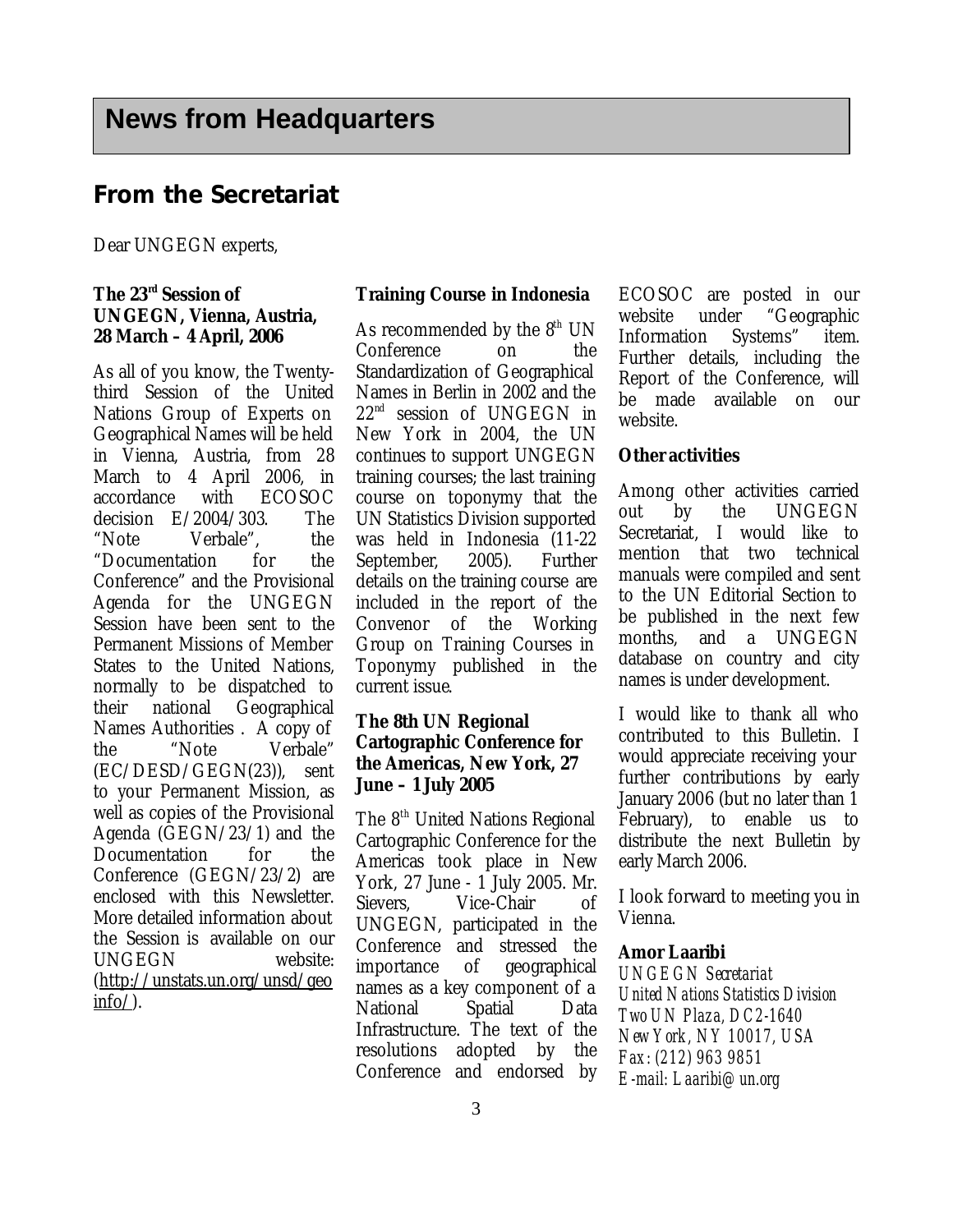#### **From the Secretariat**

Dear UNGEGN experts,

#### **The 23rd Session of UNGEGN, Vienna, Austria, 28 March – 4 April, 2006**

As all of you know, the Twentythird Session of the United Nations Group of Experts on Geographical Names will be held in Vienna, Austria, from 28 March to 4 April 2006, in accordance with ECOSOC decision E/2004/303. The "Note Verbale", the "Documentation for the Conference" and the Provisional Agenda for the UNGEGN Session have been sent to the Permanent Missions of Member States to the United Nations, normally to be dispatched to their national Geographical Names Authorities . A copy of the "Note Verbale" (EC/DESD/GEGN(23)), sent to your Permanent Mission, as well as copies of the Provisional Agenda (GEGN/23/1) and the Documentation for the Conference (GEGN/23/2) are enclosed with this Newsletter. More detailed information about the Session is available on our UNGEGN website: (http://unstats.un.org/unsd/geo  $info/$ ).

#### **Training Course in Indonesia**

As recommended by the  $8<sup>th</sup>$  UN Conference on the Standardization of Geographical Names in Berlin in 2002 and the  $22<sup>nd</sup>$  session of UNGEGN in New York in 2004, the UN continues to support UNGEGN training courses; the last training course on toponymy that the UN Statistics Division supported was held in Indonesia (11-22 September, 2005). Further details on the training course are included in the report of the Convenor of the Working Group on Training Courses in Toponymy published in the current issue.

#### **The 8th UN Regional Cartographic Conference for the Americas, New York, 27 June – 1 July 2005**

The 8<sup>th</sup> United Nations Regional Cartographic Conference for the Americas took place in New York, 27 June - 1 July 2005. Mr. Sievers, Vice-Chair of UNGEGN, participated in the Conference and stressed the importance of geographical names as a key component of a National Spatial Data Infrastructure. The text of the resolutions adopted by the Conference and endorsed by ECOSOC are posted in our website under "Geographic Information Systems" item. Further details, including the Report of the Conference, will be made available on our website.

#### **Other activities**

Among other activities carried out by the UNGEGN Secretariat, I would like to mention that two technical manuals were compiled and sent to the UN Editorial Section to be published in the next few months, and a UNGEGN database on country and city names is under development.

I would like to thank all who contributed to this Bulletin. I would appreciate receiving your further contributions by early January 2006 (but no later than 1 February), to enable us to distribute the next Bulletin by early March 2006.

I look forward to meeting you in Vienna.

#### **Amor Laaribi**

*UNGEGN Secretariat United Nations Statistics Division Two UN Plaza, DC2-1640 New York, NY 10017, USA Fax: (212) 963 9851 E-mail: Laaribi@un.org*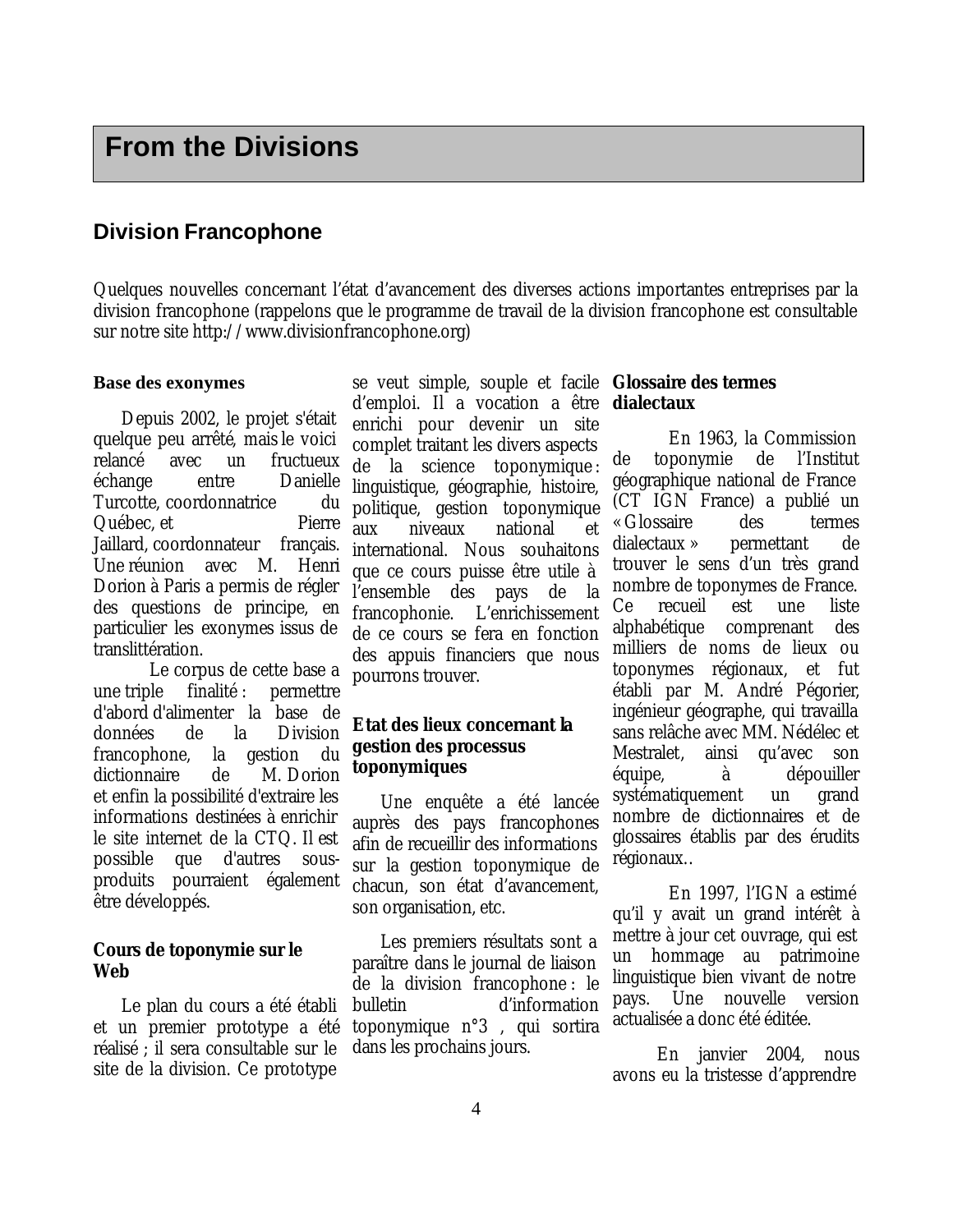#### **Division Francophone**

Quelques nouvelles concernant l'état d'avancement des diverses actions importantes entreprises par la division francophone (rappelons que le programme de travail de la division francophone est consultable sur notre site http://www.divisionfrancophone.org)

#### **Base des exonymes**

Depuis 2002, le projet s'était quelque peu arrêté, mais le voici relancé avec un fructueux échange entre Danielle Turcotte, coordonnatrice du Québec, et Pierre Jaillard, coordonnateur français. Une réunion avec M. Henri Dorion à Paris a permis de régler des questions de principe, en particulier les exonymes issus de translittération.

Le corpus de cette base a une triple finalité : permettre d'abord d'alimenter la base de données de la Division francophone, la gestion du dictionnaire de M. Dorion et enfin la possibilité d'extraire les informations destinées à enrichir le site internet de la CTQ. Il est possible que d'autres sousproduits pourraient également être développés.

#### **Cours de toponymie sur le Web**

Le plan du cours a été établi et un premier prototype a été réalisé ; il sera consultable sur le site de la division. Ce prototype

se veut simple, souple et facile **Glossaire des termes**  d'emploi. Il a vocation a être enrichi pour devenir un site complet traitant les divers aspects de la science toponymique : linguistique, géographie, histoire, politique, gestion toponymique aux niveaux national et international. Nous souhaitons que ce cours puisse être utile à l'ensemble des pays de la francophonie. L'enrichissement de ce cours se fera en fonction des appuis financiers que nous pourrons trouver.

#### **Etat des lieux concernant la gestion des processus toponymiques**

Une enquête a été lancée auprès des pays francophones afin de recueillir des informations sur la gestion toponymique de chacun, son état d'avancement, son organisation, etc.

Les premiers résultats sont a paraître dans le journal de liaison de la division francophone : le bulletin d'information toponymique n°3 , qui sortira dans les prochains jours.

# **dialectaux**

En 1963, la Commission de toponymie de l'Institut géographique national de France (CT IGN France) a publié un « Glossaire des termes dialectaux » permettant de trouver le sens d'un très grand nombre de toponymes de France. Ce recueil est une liste alphabétique comprenant des milliers de noms de lieux ou toponymes régionaux, et fut établi par M. André Pégorier, ingénieur géographe, qui travailla sans relâche avec MM. Nédélec et Mestralet, ainsi qu'avec son équipe, à dépouiller systématiquement un grand nombre de dictionnaires et de glossaires établis par des érudits régionaux..

En 1997, l'IGN a estimé qu'il y avait un grand intérêt à mettre à jour cet ouvrage, qui est un hommage au patrimoine linguistique bien vivant de notre pays. Une nouvelle version actualisée a donc été éditée.

En janvier 2004, nous avons eu la tristesse d'apprendre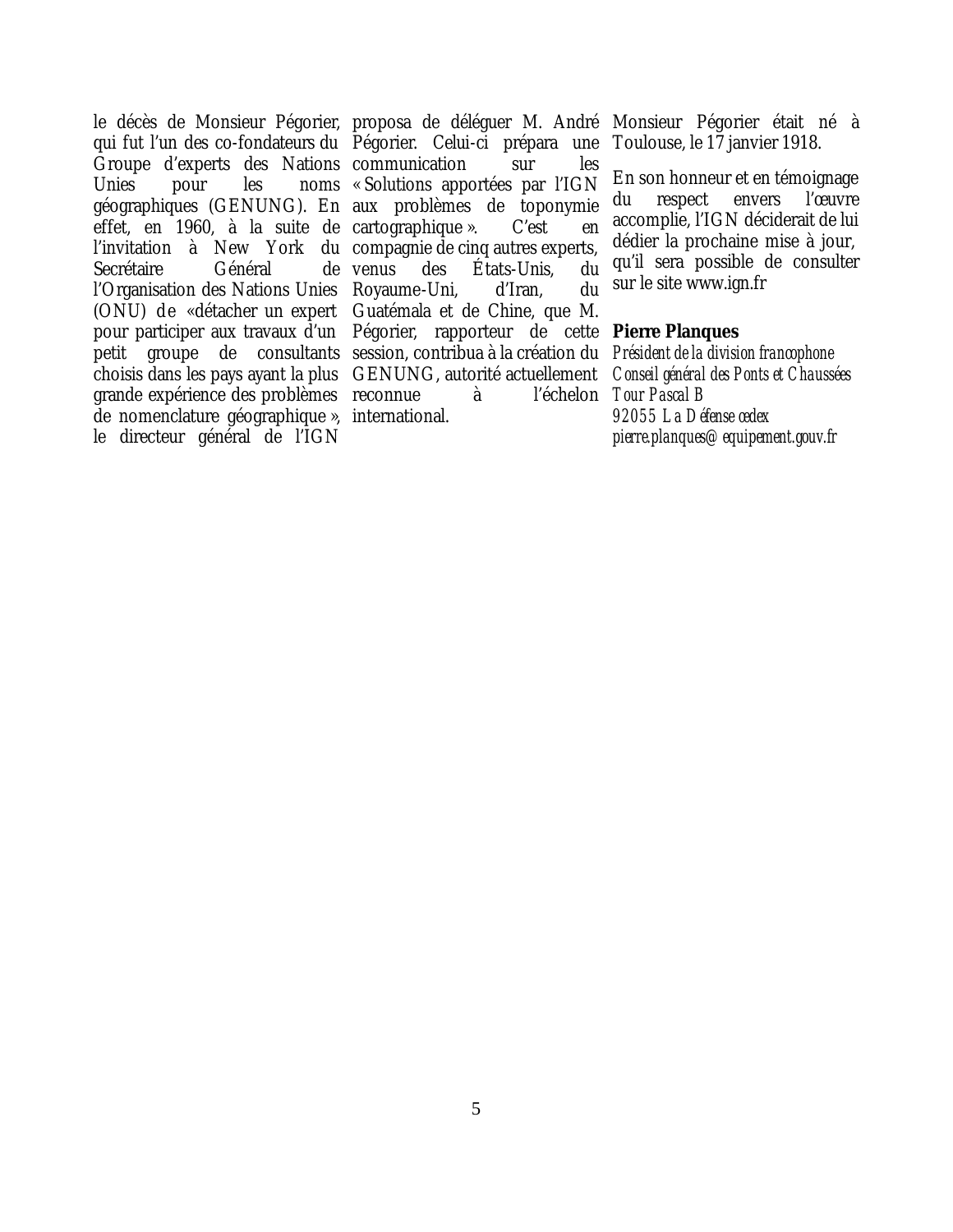le décès de Monsieur Pégorier, proposa de déléguer M. André Monsieur Pégorier était né à qui fut l'un des co-fondateurs du Pégorier. Celui-ci prépara une Groupe d'experts des Nations communication sur les Unies pour les noms « Solutions apportées par l'IGN géographiques (GENUNG). En aux problèmes de toponymie effet, en 1960, à la suite de cartographique ». C'est en Secrétaire Général de venus l'Organisation des Nations Unies Royaume-Uni, d'Iran, du (ONU) de «détacher un expert Guatémala et de Chine, que M. grande expérience des problèmes reconnue à l'échelon de nomenclature géographique », international. le directeur général de l'IGN

l'invitation à New York du compagnie de cinq autres experts, pour participer aux travaux d'un Pégorier, rapporteur de cette **Pierre Planques** petit groupe de consultants session, contribua à la création du *Président de la division francophone* choisis dans les pays ayant la plus GENUNG, autorité actuellement des États-Unis, du

Toulouse, le 17 janvier 1918.

En son honneur et en témoignage du respect envers l'œuvre accomplie, l'IGN déciderait de lui dédier la prochaine mise à jour, qu'il sera possible de consulter sur le site www.ign.fr

*Conseil général des Ponts et Chaussées Tour Pascal B 92055 La Défense cedex pierre.planques@equipement.gouv.fr*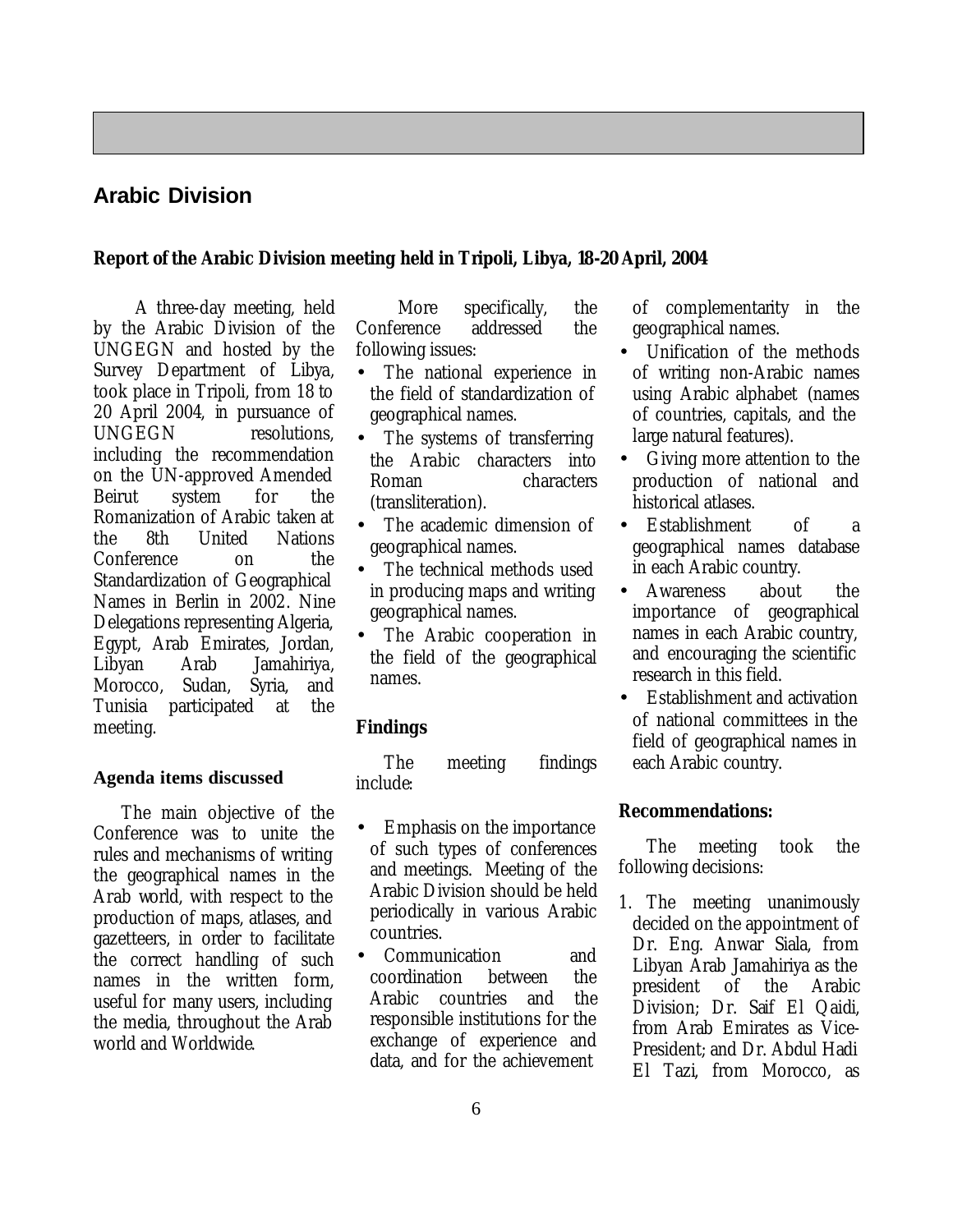#### **Arabic Division**

#### **Report of the Arabic Division meeting held in Tripoli, Libya, 18-20 April, 2004**

A three-day meeting, held by the Arabic Division of the UNGEGN and hosted by the Survey Department of Libya, took place in Tripoli, from 18 to 20 April 2004, in pursuance of UNGEGN resolutions. including the recommendation on the UN-approved Amended Beirut system for the Romanization of Arabic taken at the 8th United Nations Conference on the Standardization of Geographical Names in Berlin in 2002. Nine Delegations representing Algeria, Egypt, Arab Emirates, Jordan, Libyan Arab Jamahiriya, Morocco, Sudan, Syria, and Tunisia participated at the meeting.

#### **Agenda items discussed**

The main objective of the Conference was to unite the rules and mechanisms of writing the geographical names in the Arab world, with respect to the production of maps, atlases, and gazetteers, in order to facilitate the correct handling of such names in the written form, useful for many users, including the media, throughout the Arab world and Worldwide.

More specifically, the Conference addressed the following issues:

- The national experience in the field of standardization of geographical names.
- The systems of transferring the Arabic characters into Roman characters (transliteration).
- The academic dimension of geographical names.
- The technical methods used in producing maps and writing geographical names.
- The Arabic cooperation in the field of the geographical names.

#### **Findings**

The meeting findings include:

- Emphasis on the importance of such types of conferences and meetings. Meeting of the Arabic Division should be held periodically in various Arabic countries.
- Communication and coordination between the Arabic countries and the responsible institutions for the exchange of experience and data, and for the achievement

of complementarity in the geographical names.

- Unification of the methods of writing non-Arabic names using Arabic alphabet (names of countries, capitals, and the large natural features).
- Giving more attention to the production of national and historical atlases.
- Establishment of a geographical names database in each Arabic country.
- Awareness about the importance of geographical names in each Arabic country, and encouraging the scientific research in this field.
- Establishment and activation of national committees in the field of geographical names in each Arabic country.

#### **Recommendations:**

The meeting took the following decisions:

1. The meeting unanimously decided on the appointment of Dr. Eng. Anwar Siala, from Libyan Arab Jamahiriya as the president of the Arabic Division; Dr. Saif El Qaidi, from Arab Emirates as Vice-President; and Dr. Abdul Hadi El Tazi, from Morocco, as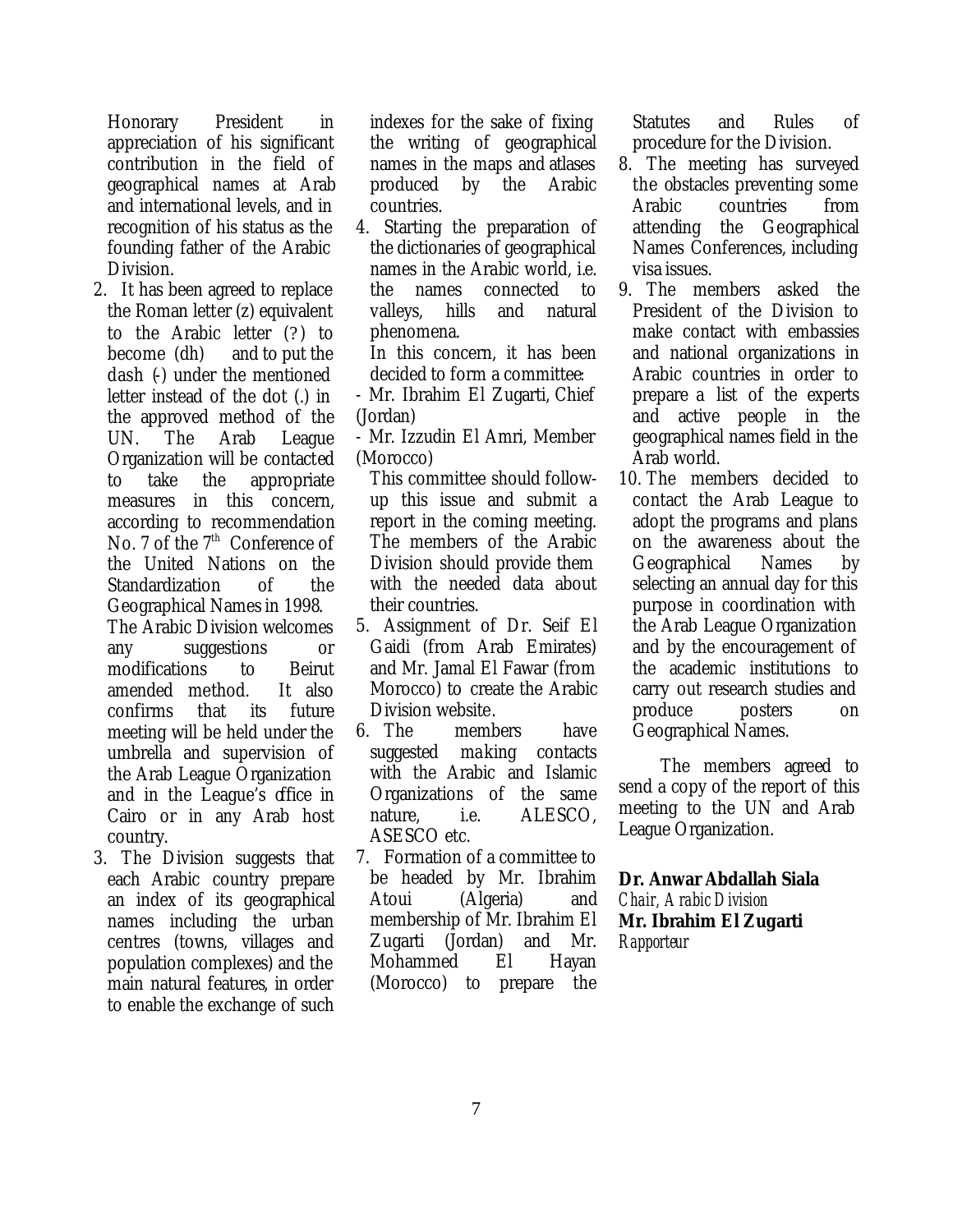Honorary President in appreciation of his significant contribution in the field of geographical names at Arab and international levels, and in recognition of his status as the founding father of the Arabic Division.

- 2. It has been agreed to replace the Roman letter (z) equivalent to the Arabic letter (?) to become (dh) and to put the dash (-) under the mentioned letter instead of the dot (.) in the approved method of the UN. The Arab League Organization will be contacted to take the appropriate measures in this concern, according to recommendation No. 7 of the 7<sup>th</sup> Conference of the United Nations on the Standardization of the Geographical Names in 1998. The Arabic Division welcomes any suggestions or modifications to Beirut amended method. It also confirms that its future meeting will be held under the umbrella and supervision of the Arab League Organization and in the League's office in Cairo or in any Arab host country.
- 3. The Division suggests that each Arabic country prepare an index of its geographical names including the urban centres (towns, villages and population complexes) and the main natural features, in order to enable the exchange of such

indexes for the sake of fixing the writing of geographical names in the maps and atlases produced by the Arabic countries.

4. Starting the preparation of the dictionaries of geographical names in the Arabic world, i.e. the names connected to valleys, hills and natural phenomena.

In this concern, it has been decided to form a committee:

- Mr. Ibrahim El Zugarti, Chief (Jordan)

- Mr. Izzudin El Amri, Member (Morocco)

This committee should followup this issue and submit a report in the coming meeting. The members of the Arabic Division should provide them with the needed data about their countries.

- 5. Assignment of Dr. Seif El Gaidi (from Arab Emirates) and Mr. Jamal El Fawar (from Morocco) to create the Arabic Division website.
- 6. The members have suggested making contacts with the Arabic and Islamic Organizations of the same nature, i.e. ALESCO, ASESCO etc.
- 7. Formation of a committee to be headed by Mr. Ibrahim Atoui (Algeria) and membership of Mr. Ibrahim El Zugarti (Jordan) and Mr. Mohammed El Hayan (Morocco) to prepare the

Statutes and Rules of procedure for the Division.

- 8. The meeting has surveyed the obstacles preventing some Arabic countries from attending the Geographical Names Conferences, including visa issues.
- 9. The members asked the President of the Division to make contact with embassies and national organizations in Arabic countries in order to prepare a list of the experts and active people in the geographical names field in the Arab world.
- 10. The members decided to contact the Arab League to adopt the programs and plans on the awareness about the Geographical Names by selecting an annual day for this purpose in coordination with the Arab League Organization and by the encouragement of the academic institutions to carry out research studies and produce posters on Geographical Names.

The members agreed to send a copy of the report of this meeting to the UN and Arab League Organization.

#### **Dr. Anwar Abdallah Siala**

*Chair, Arabic Division* **Mr. Ibrahim El Zugarti** *Rapporteur*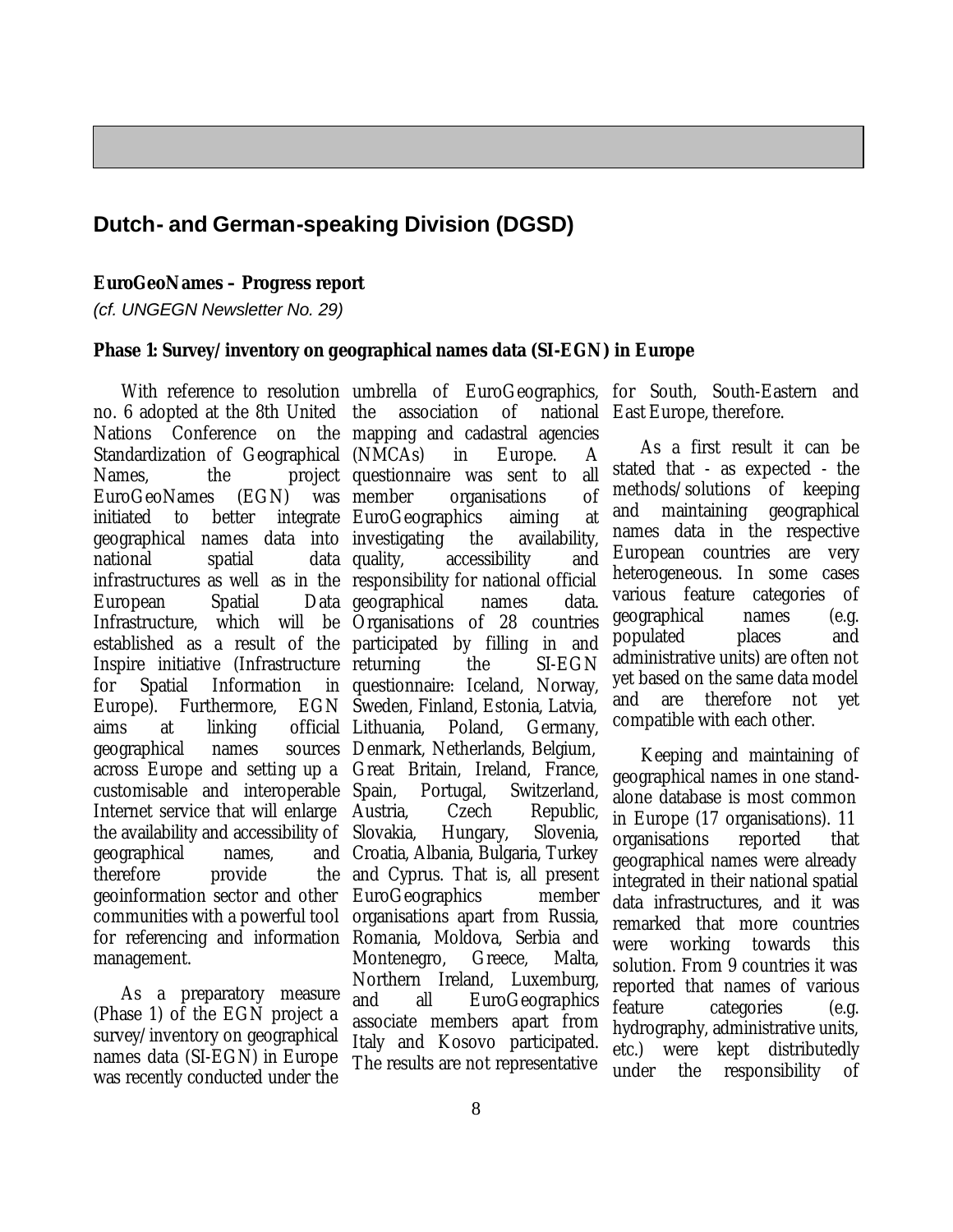#### **Dutch- and German-speaking Division (DGSD)**

#### **EuroGeoNames – Progress report**

*(cf. UNGEGN Newsletter No. 29)*

#### **Phase 1: Survey/inventory on geographical names data (SI-EGN) in Europe**

no. 6 adopted at the 8th United Nations Conference on Standardization of Geographical (NMCAs) in Europe. A Names, the project questionnaire was sent to all EuroGeoNames (EGN) was initiated to better integrate EuroGeographics aiming at geographical names data into investigating the availability, national spatial data quality, European Spatial Infrastructure, which will be Organisations of 28 countries established as a result of the participated by filling in and for Spatial Information Europe). Furthermore, aims at linking geographical names across Europe and setting up a Great Britain, Ireland, France, customisable and interoperable Internet service that will enlarge Austria, the availability and accessibility of Slovakia, Hungary, Slovenia, geographical names, therefore provide geoinformation sector and other communities with a powerful tool for referencing and information management.

As a preparatory measure (Phase 1) of the EGN project a survey/inventory on geographical names data (SI-EGN) in Europe was recently conducted under the

infrastructures as well as in the responsibility for national official Inspire initiative (Infrastructure returning the SI-EGN the association of national East Europe, therefore. mapping and cadastral agencies organisations of accessibility and Data geographical names data. questionnaire: Iceland, Norway, EGN Sweden, Finland, Estonia, Latvia, Lithuania, Poland, Germany, sources Denmark, Netherlands, Belgium, Portugal, Switzerland, Czech Republic, Croatia, Albania, Bulgaria, Turkey and Cyprus. That is, all present EuroGeographics member organisations apart from Russia, Romania, Moldova, Serbia and Montenegro, Greece, Malta, Northern Ireland, Luxemburg, and all EuroGeographics associate members apart from Italy and Kosovo participated. The results are not representative

With reference to resolution umbrella of EuroGeographics, for South, South-Eastern and

As a first result it can be stated that - as expected - the methods/solutions of keeping and maintaining geographical names data in the respective European countries are very heterogeneous. In some cases various feature categories of geographical names (e.g. populated places and administrative units) are often not yet based on the same data model and are therefore not yet compatible with each other.

Keeping and maintaining of geographical names in one standalone database is most common in Europe (17 organisations). 11 organisations reported that geographical names were already integrated in their national spatial data infrastructures, and it was remarked that more countries were working towards this solution. From 9 countries it was reported that names of various feature categories (e.g. hydrography, administrative units, etc.) were kept distributedly under the responsibility of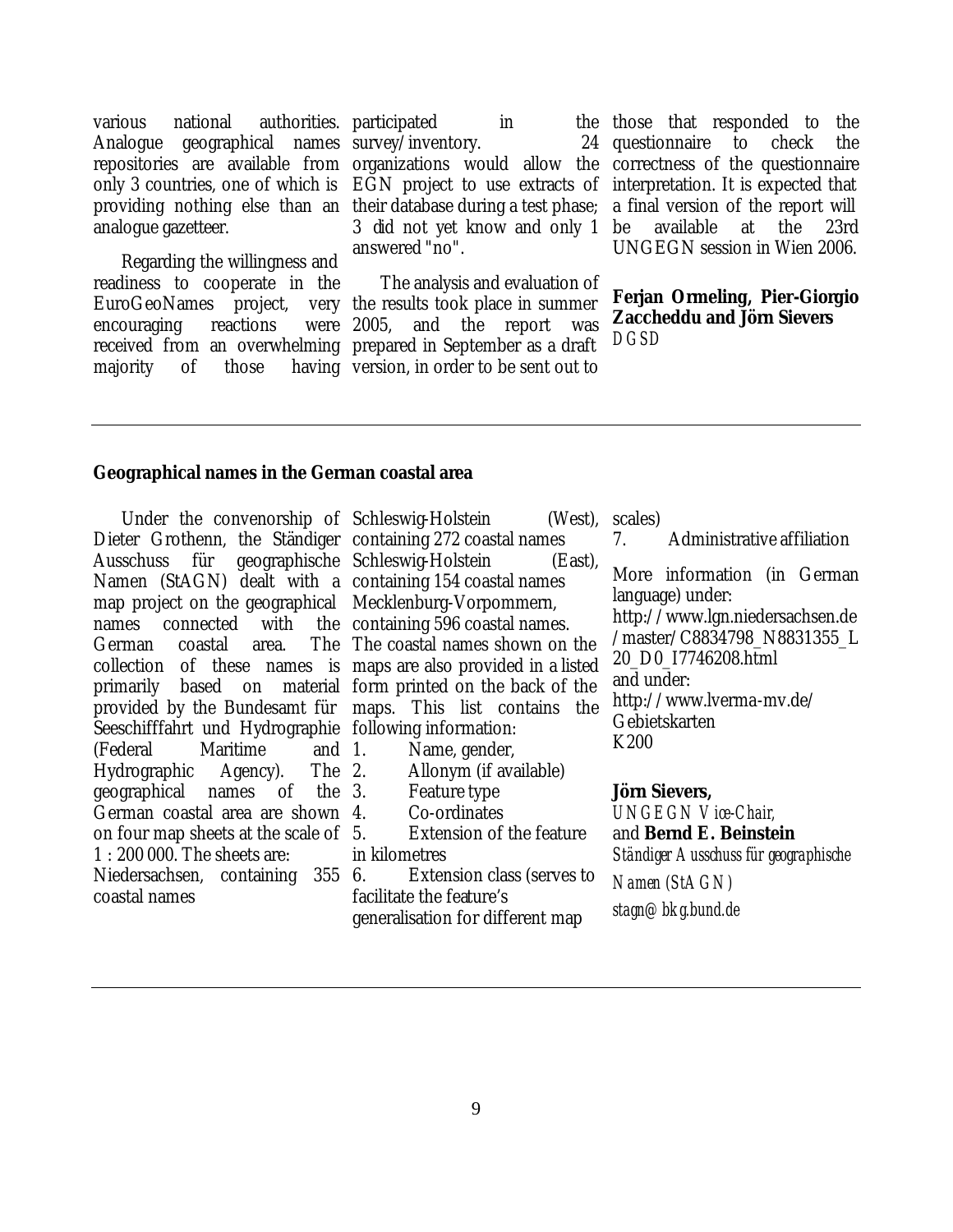various national authorities. participated in the analogue gazetteer.

Regarding the willingness and readiness to cooperate in the EuroGeoNames project, encouraging reactions received from an overwhelming prepared in September as a draft majority of those

Analogue geographical names survey/inventory. 24 repositories are available from organizations would allow the only 3 countries, one of which is EGN project to use extracts of providing nothing else than an their database during a test phase; 3 did not yet know and only 1 answered "no".

> The analysis and evaluation of the results took place in summer 2005, and the report was having version, in order to be sent out to

the those that responded to the questionnaire to check the correctness of the questionnaire interpretation. It is expected that a final version of the report will be available at the 23rd UNGEGN session in Wien 2006.

#### **Ferjan Ormeling, Pier-Giorgio Zaccheddu and Jörn Sievers** *DGSD*

#### **Geographical names in the German coastal area**

Dieter Grothenn, the Ständiger containing 272 coastal names Ausschuss für geographische Schleswig-Holstein (East), Namen (StAGN) dealt with a containing 154 coastal names map project on the geographical Mecklenburg-Vorpommern, names connected with German coastal area. collection of these names is maps are also provided in a listed primarily based on material form printed on the back of the provided by the Bundesamt für maps. This list contains the Seeschifffahrt und Hydrographie following information: (Federal Maritime and Hydrographic Agency). The geographical names of the German coastal area are shown 4. on four map sheets at the scale of 1 : 200 000. The sheets are: Niedersachsen, containing 355 6. coastal names

Under the convenorship of Schleswig-Holstein (West), the containing 596 coastal names. The coastal names shown on the

- Name, gender,
- 2. Allonym (if available)
- Feature type
- Co-ordinates

Extension of the feature in kilometres

Extension class (serves to facilitate the feature's generalisation for different map

(West). scales)

7. Administrative affiliation

More information (in German language) under:

http://www.lgn.niedersachsen.de /master/C8834798\_N8831355\_L 20\_D0\_I7746208.html and under: http://www.lverma-mv.de/ Gebietskarten

K200

#### **Jörn Sievers,**

*UNGEGN Vice-Chair,* and **Bernd E. Beinstein** *Ständiger Ausschuss für geographische* 

*Namen (StAGN)*

*stagn@bkg.bund.de*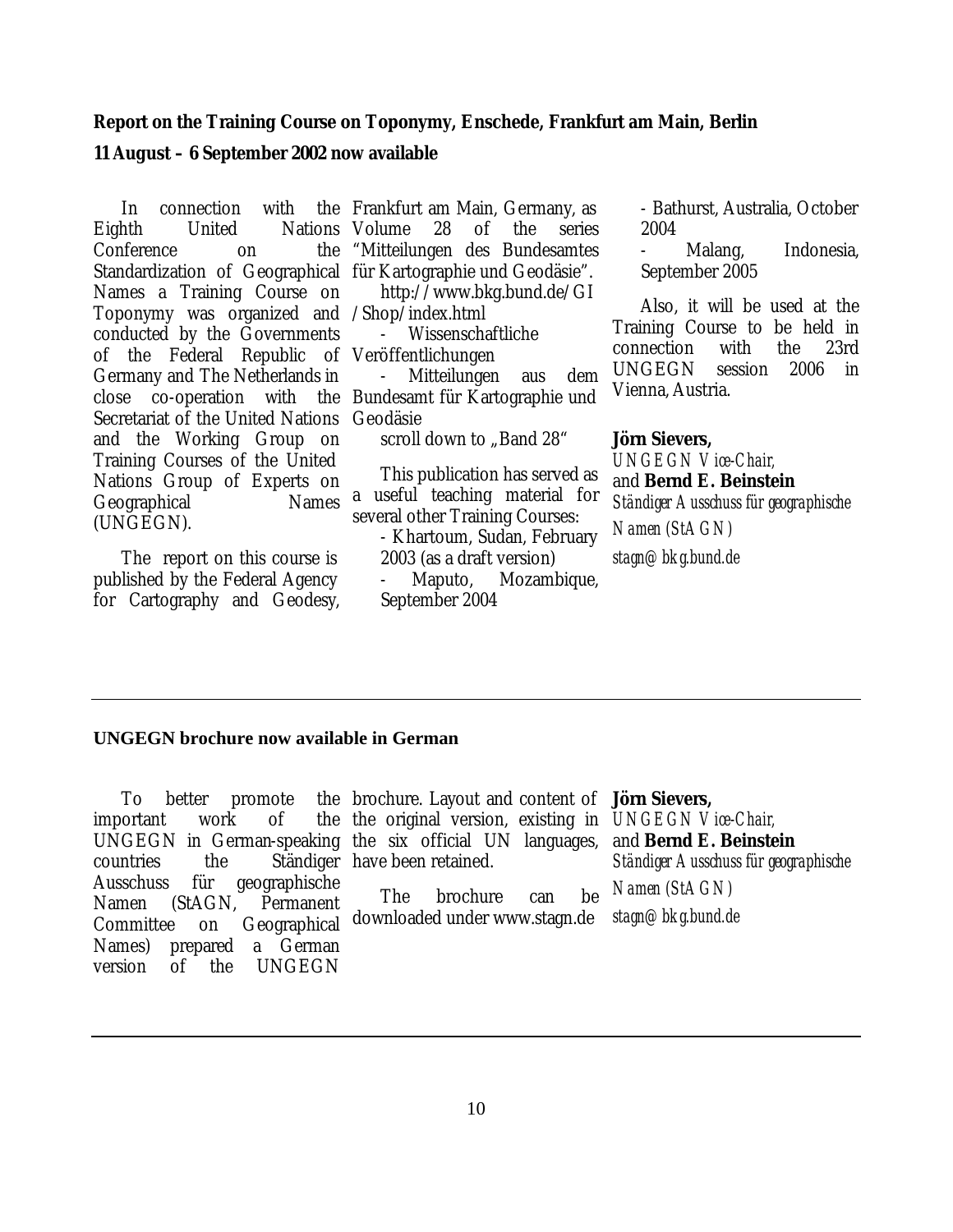#### **Report on the Training Course on Toponymy, Enschede, Frankfurt am Main, Berlin**

#### **11 August – 6 September 2002 now available**

In connection with Eighth United Nations Volume 28 of the series Conference on the Standardization of Geographical für Kartographie und Geodäsie". Names a Training Course on Toponymy was organized and /Shop/index.html conducted by the Governments of the Federal Republic of Veröffentlichungen Germany and The Netherlands in close co-operation with the Bundesamt für Kartographie und Secretariat of the United Nations and the Working Group on Training Courses of the United Nations Group of Experts on Geographical Names (UNGEGN).

 The report on this course is published by the Federal Agency for Cartography and Geodesy,

Frankfurt am Main, Germany, as "Mitteilungen des Bundesamtes http://www.bkg.bund.de/GI

- Wissenschaftliche

- Mitteilungen aus dem Geodäsie

scroll down to ..Band 28"

This publication has served as a useful teaching material for several other Training Courses:

- Khartoum, Sudan, February 2003 (as a draft version)

Maputo, Mozambique, September 2004

- Bathurst, Australia, October 2004

Malang, Indonesia. September 2005

Also, it will be used at the Training Course to be held in connection with the 23rd UNGEGN session 2006 in Vienna, Austria.

**Jörn Sievers,**

*UNGEGN Vice-Chair,* and **Bernd E. Beinstein** *Ständiger Ausschuss für geographische Namen (StAGN) stagn@bkg.bund.de*

#### **UNGEGN brochure now available in German**

To better promote important work of UNGEGN in German-speaking the six official UN languages, countries the Ständiger have been retained. Ausschuss für geographische Namen (StAGN, Permanent Committee on Geographical Names) prepared a German version of the UNGEGN

brochure. Layout and content of **Jörn Sievers,** the original version, existing in *UNGEGN Vice-Chair,*

The brochure can be downloaded under www.stagn.de

and **Bernd E. Beinstein** *Ständiger Ausschuss für geographische Namen (StAGN)*

*stagn@bkg.bund.de*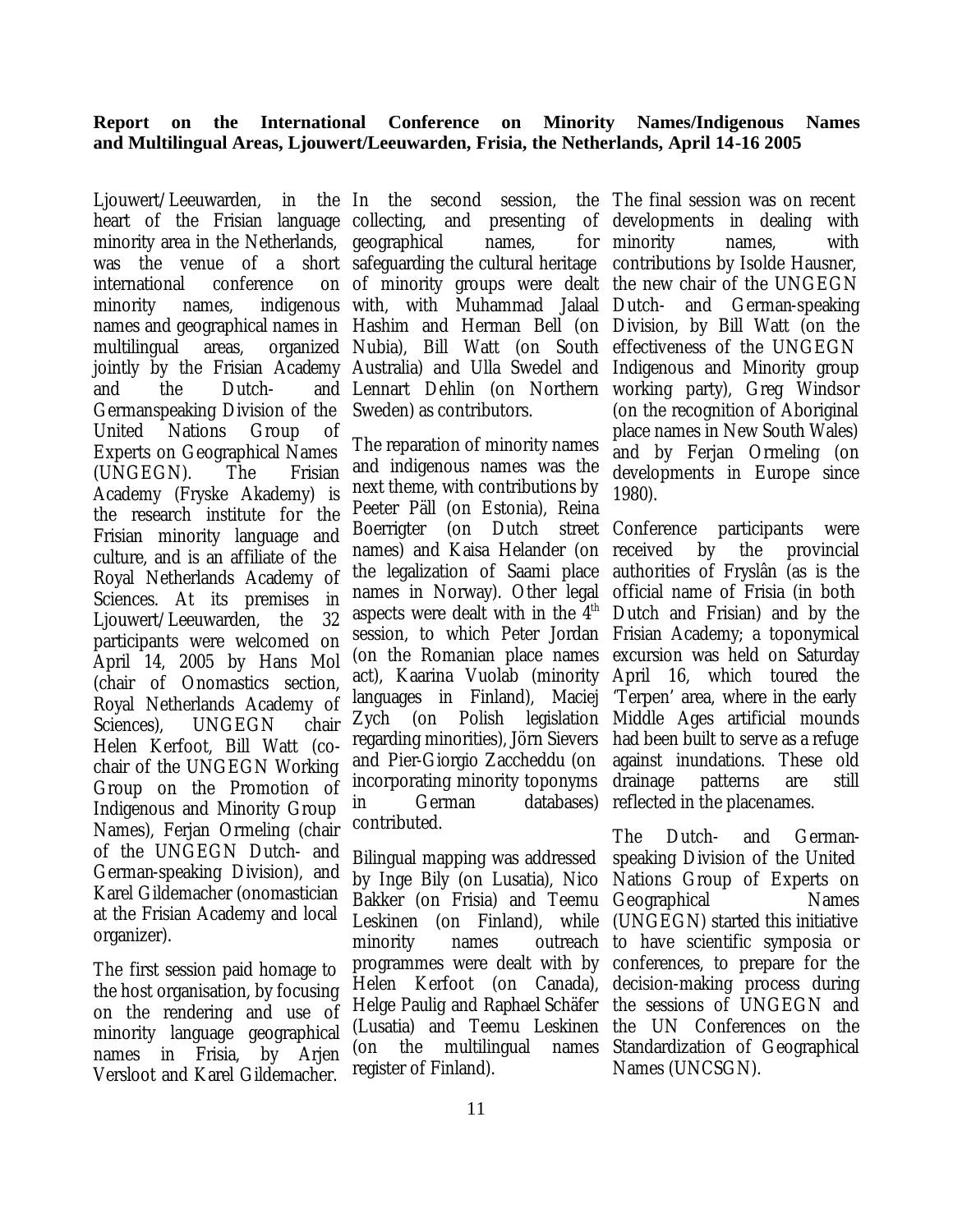#### **Report on the International Conference on Minority Names/Indigenous Names and Multilingual Areas, Ljouwert/Leeuwarden, Frisia, the Netherlands, April 14-16 2005**

Ljouwert/Leeuwarden. heart of the Frisian language collecting, and presenting of minority area in the Netherlands, geographical names, for was the venue of a short safeguarding the cultural heritage international conference minority names, indigenous with, with Muhammad Jalaal multilingual areas, jointly by the Frisian Academy Australia) and Ulla Swedel and and the Dutch- and Germanspeaking Division of the United Nations Group of Experts on Geographical Names (UNGEGN). The Frisian Academy (Fryske Akademy) is the research institute for the Frisian minority language and culture, and is an affiliate of the Royal Netherlands Academy of Sciences. At its premises in Ljouwert/Leeuwarden, the 32 participants were welcomed on April 14, 2005 by Hans Mol (chair of Onomastics section, Royal Netherlands Academy of Sciences), UNGEGN chair Helen Kerfoot, Bill Watt (cochair of the UNGEGN Working Group on the Promotion of Indigenous and Minority Group Names), Ferjan Ormeling (chair of the UNGEGN Dutch- and German-speaking Division), and Karel Gildemacher (onomastician at the Frisian Academy and local organizer).

The first session paid homage to the host organisation, by focusing on the rendering and use of minority language geographical names in Frisia, by Arjen Versloot and Karel Gildemacher.

names and geographical names in Hashim and Herman Bell (on Division, by Bill Watt (on the in the In the second session. of minority groups were dealt the new chair of the UNGEGN organized Nubia), Bill Watt (on South Lennart Dehlin (on Northern Sweden) as contributors.

> The reparation of minority names and indigenous names was the next theme, with contributions by Peeter Päll (on Estonia), Reina Boerrigter (on Dutch street Conference participants were names) and Kaisa Helander (on the legalization of Saami place names in Norway). Other legal aspects were dealt with in the  $4<sup>th</sup>$ session, to which Peter Jordan Frisian Academy; a toponymical (on the Romanian place names excursion was held on Saturday act), Kaarina Vuolab (minority languages in Finland), Maciej Zych (on Polish legislation Middle Ages artificial mounds regarding minorities), Jörn Sievers and Pier-Giorgio Zaccheddu (on incorporating minority toponyms in German databases) contributed.

> Bilingual mapping was addressed by Inge Bily (on Lusatia), Nico Nations Group of Experts on Bakker (on Frisia) and Teemu Geographical Names Leskinen (on Finland), while (UNGEGN) started this initiative minority names outreach to have scientific symposia or programmes were dealt with by Helen Kerfoot (on Canada), Helge Paulig and Raphael Schäfer (Lusatia) and Teemu Leskinen the UN Conferences on the (on the multilingual names Standardization of Geographical register of Finland).

The final session was on recent developments in dealing with minority names, with contributions by Isolde Hausner, Dutch- and German-speaking effectiveness of the UNGEGN Indigenous and Minority group working party), Greg Windsor (on the recognition of Aboriginal place names in New South Wales) and by Ferjan Ormeling (on developments in Europe since 1980).

> by the provincial authorities of Fryslân (as is the official name of Frisia (in both Dutch and Frisian) and by the April 16, which toured the 'Terpen' area, where in the early had been built to serve as a refuge against inundations. These old drainage patterns are still reflected in the placenames.

The Dutch- and Germanspeaking Division of the United conferences, to prepare for the decision-making process during the sessions of UNGEGN and Names (UNCSGN).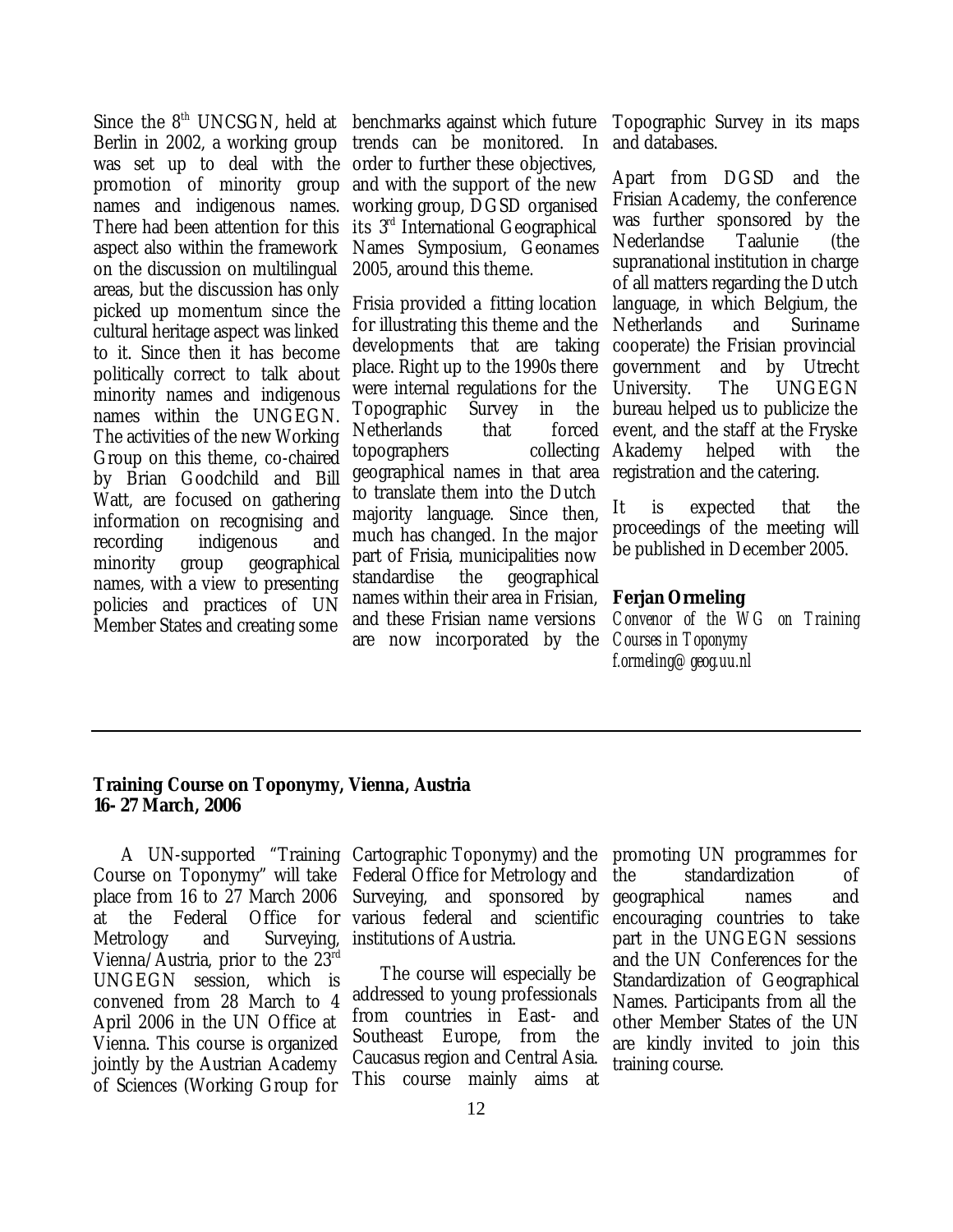Since the  $8<sup>th</sup>$  UNCSGN, held at benchmarks against which future Berlin in 2002, a working group was set up to deal with the promotion of minority group names and indigenous names. There had been attention for this aspect also within the framework on the discussion on multilingual areas, but the discussion has only picked up momentum since the cultural heritage aspect was linked to it. Since then it has become politically correct to talk about minority names and indigenous names within the UNGEGN. The activities of the new Working Group on this theme, co-chaired by Brian Goodchild and Bill Watt, are focused on gathering information on recognising and recording indigenous and minority group geographical names, with a view to presenting policies and practices of UN Member States and creating some

trends can be monitored. In order to further these objectives, and with the support of the new working group, DGSD organised its 3rd International Geographical Names Symposium, Geonames 2005, around this theme.

Frisia provided a fitting location for illustrating this theme and the developments that are taking place. Right up to the 1990s there were internal regulations for the Topographic Survey in the Netherlands that forced topographers collecting geographical names in that area to translate them into the Dutch majority language. Since then, much has changed. In the major part of Frisia, municipalities now standardise the geographical names within their area in Frisian, and these Frisian name versions are now incorporated by the

Topographic Survey in its maps and databases.

Apart from DGSD and the Frisian Academy, the conference was further sponsored by the Nederlandse Taalunie (the supranational institution in charge of all matters regarding the Dutch language, in which Belgium, the Netherlands and Suriname cooperate) the Frisian provincial government and by Utrecht University. The UNGEGN bureau helped us to publicize the event, and the staff at the Fryske Akademy helped with the registration and the catering.

It is expected that the proceedings of the meeting will be published in December 2005.

#### **Ferjan Ormeling**

*Convenor of the WG on Training Courses in Toponymy f.ormeling@geog.uu.nl*

#### **Training Course on Toponymy, Vienna, Austria 16- 27 March, 2006**

Course on Toponymy" will take place from 16 to 27 March 2006 at the Federal Office Metrology and Surveying, Vienna/Austria, prior to the 23rd UNGEGN session, which is convened from 28 March to 4 April 2006 in the UN Office at Vienna. This course is organized jointly by the Austrian Academy of Sciences (Working Group for

A UN-supported "Training Cartographic Toponymy) and the Federal Office for Metrology and Surveying, and sponsored by for various federal and scientific institutions of Austria.

> The course will especially be addressed to young professionals from countries in East- and Southeast Europe, from the Caucasus region and Central Asia. This course mainly aims at

promoting UN programmes for the standardization of geographical names and encouraging countries to take part in the UNGEGN sessions and the UN Conferences for the Standardization of Geographical Names. Participants from all the other Member States of the UN are kindly invited to join this training course.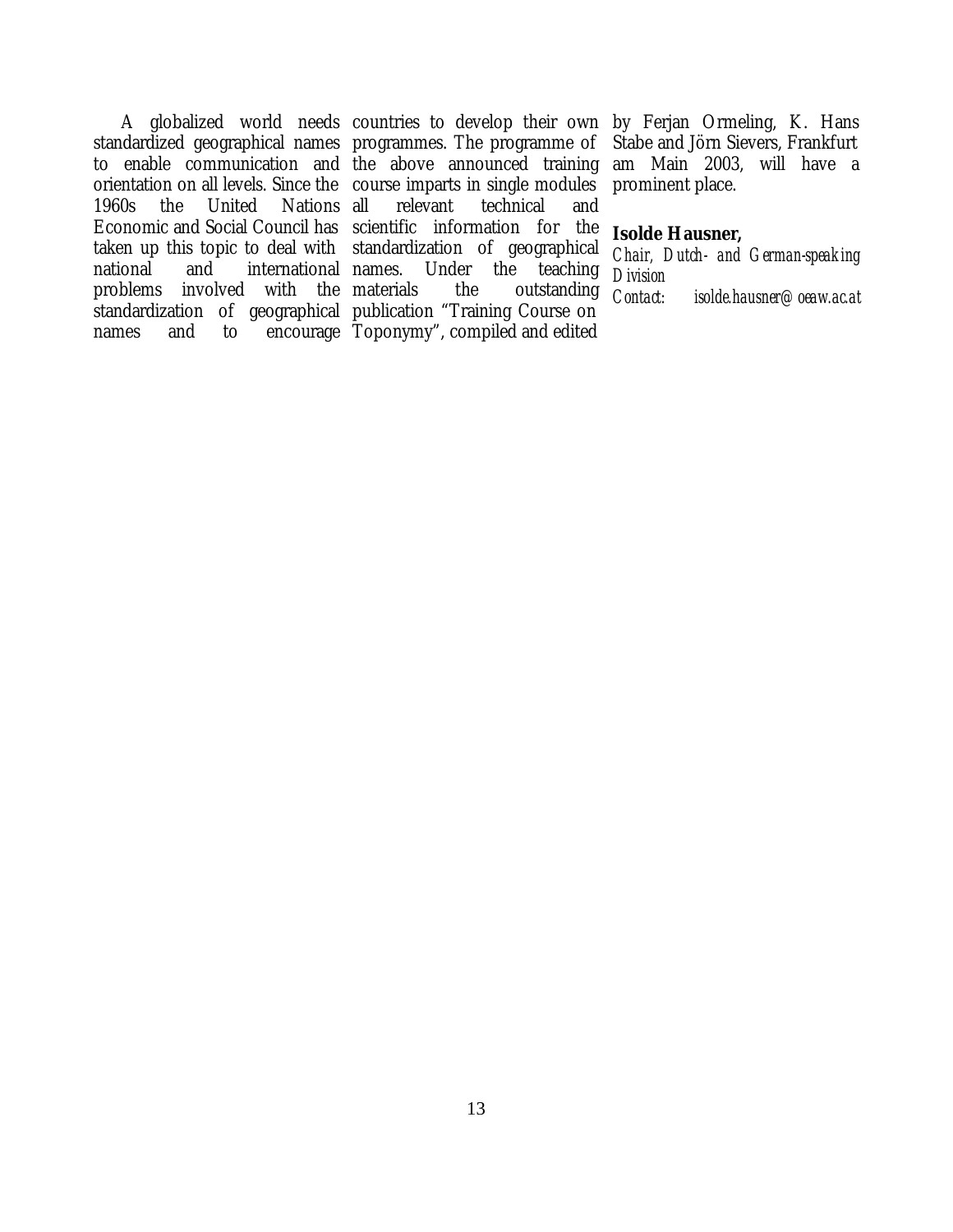1960s the United Nations Economic and Social Council has scientific information for the taken up this topic to deal with standardization of geographical national and international problems involved with the

standardized geographical names programmes. The programme of to enable communication and the above announced training am Main 2003, will have a orientation on all levels. Since the course imparts in single modules standardization of geographical publication "Training Course on names and to encourage Toponymy", compiled and edited relevant technical and Under the teaching the outstanding

A globalized world needs countries to develop their own by Ferjan Ormeling, K. Hans Stabe and Jörn Sievers, Frankfurt prominent place.

#### **Isolde Hausner,**

*Chair, Dutch- and German-speaking Division Contact: isolde.hausner@oeaw.ac.at*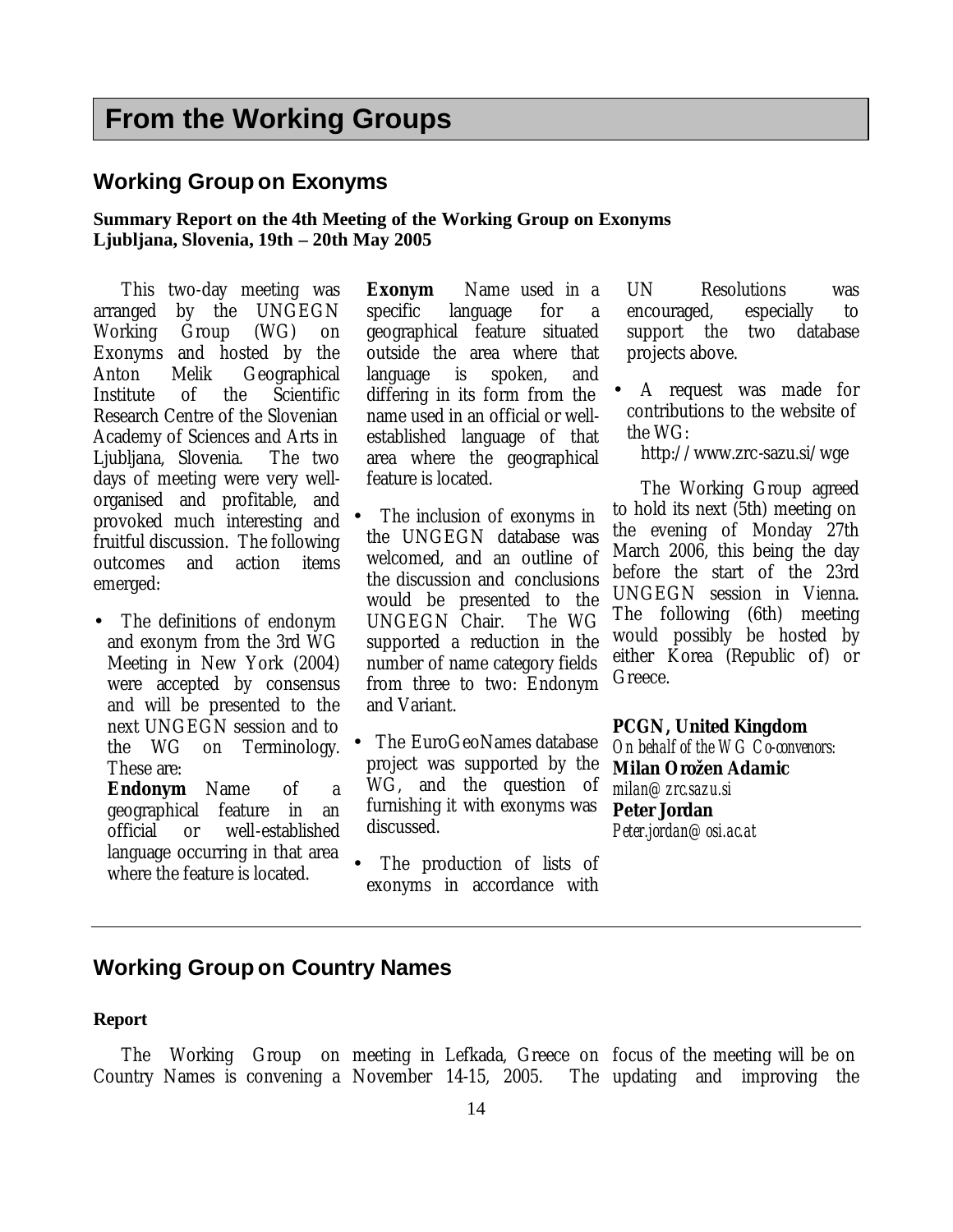## **From the Working Groups**

#### **Working Group on Exonyms**

#### **Summary Report on the 4th Meeting of the Working Group on Exonyms Ljubljana, Slovenia, 19th – 20th May 2005**

This two-day meeting was arranged by the UNGEGN Working Group (WG) on Exonyms and hosted by the Anton Melik Geographical Institute of the Scientific Research Centre of the Slovenian Academy of Sciences and Arts in Ljubljana, Slovenia. The two days of meeting were very wellorganised and profitable, and provoked much interesting and fruitful discussion. The following outcomes and action items emerged:

• The definitions of endonym and exonym from the 3rd WG Meeting in New York (2004) were accepted by consensus and will be presented to the next UNGEGN session and to the WG on Terminology. These are:

**Endonym** Name of a geographical feature in an official or well-established language occurring in that area where the feature is located.

**Exonym** Name used in a specific language for a geographical feature situated outside the area where that language is spoken, and differing in its form from the name used in an official or wellestablished language of that area where the geographical feature is located.

- The inclusion of exonyms in the UNGEGN database was welcomed, and an outline of the discussion and conclusions would be presented to the UNGEGN Chair. The WG supported a reduction in the number of name category fields from three to two: Endonym and Variant.
- The EuroGeoNames database project was supported by the WG, and the question of furnishing it with exonyms was discussed.
- The production of lists of exonyms in accordance with

UN Resolutions was encouraged, especially to support the two database projects above.

• A request was made for contributions to the website of the  $WG$ 

http://www.zrc-sazu.si/wge

The Working Group agreed to hold its next (5th) meeting on the evening of Monday 27th March 2006, this being the day before the start of the 23rd UNGEGN session in Vienna. The following (6th) meeting would possibly be hosted by either Korea (Republic of) or Greece.

#### **PCGN, United Kingdom**

*On behalf of the WG Co-convenors:* **Milan Orožen Adamic** *milan@zrc.sazu.si* **Peter Jordan** *Peter.jordan@osi.ac.at*

#### **Working Group on Country Names**

#### **Report**

The Working Group on meeting in Lefkada, Greece on focus of the meeting will be on Country Names is convening a November 14-15, 2005. The The updating and improving the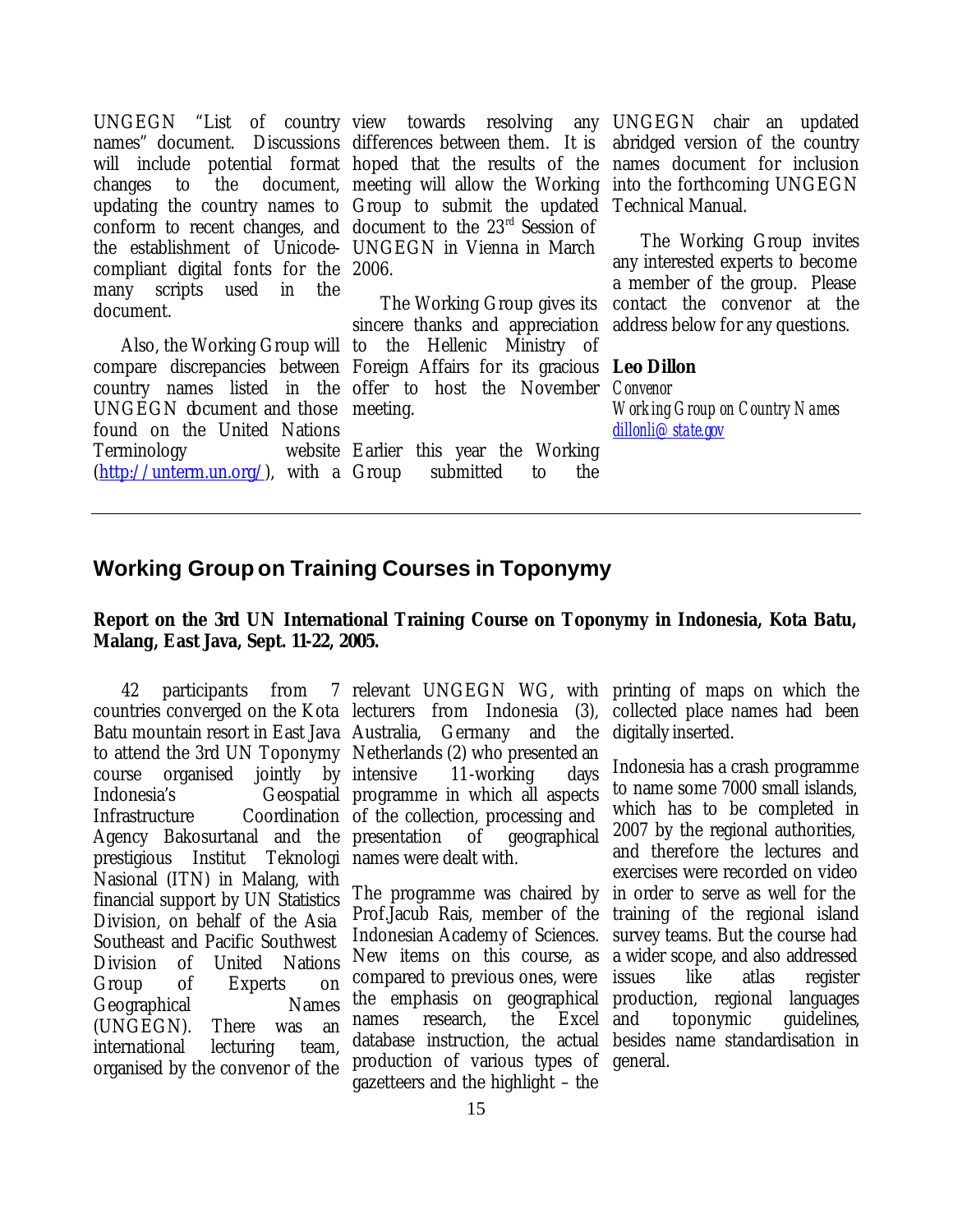UNGEGN "List of country view towards resolving any UNGEGN chair an updated names" document. Discussions differences between them. It is will include potential format hoped that the results of the changes to the document, meeting will allow the Working updating the country names to Group to submit the updated conform to recent changes, and document to the 23<sup>rd</sup> Session of the establishment of Unicode-UNGEGN in Vienna in March compliant digital fonts for the 2006. many scripts used in the document.

country names listed in the offer to host the November UNGEGN document and those meeting. found on the United Nations Terminology  $(http://unterm.un.org/)$ , with a Group

Also, the Working Group will to the Hellenic Ministry of compare discrepancies between Foreign Affairs for its gracious **Leo Dillon** The Working Group gives its sincere thanks and appreciation

> Earlier this year the Working submitted to the

abridged version of the country names document for inclusion into the forthcoming UNGEGN Technical Manual.

The Working Group invites any interested experts to become a member of the group. Please contact the convenor at the address below for any questions.

*Convenor Working Group on Country Names dillonli@state.gov*

#### **Working Group on Training Courses in Toponymy**

#### **Report on the 3rd UN International Training Course on Toponymy in Indonesia, Kota Batu, Malang, East Java, Sept. 11-22, 2005.**

Batu mountain resort in East Java Australia, Germany and the course organised jointly by Indonesia's Infrastructure Coordination of the collection, processing and Agency Bakosurtanal and the presentation of geographical prestigious Institut Teknologi names were dealt with. Nasional (ITN) in Malang, with financial support by UN Statistics Division, on behalf of the Asia Southeast and Pacific Southwest Division of United Nations Group of Experts on Geographical Names (UNGEGN). There was an international lecturing team, organised by the convenor of the

countries converged on the Kota lecturers from Indonesia (3), collected place names had been to attend the 3rd UN Toponymy Netherlands (2) who presented an 11-working days Geospatial programme in which all aspects

> The programme was chaired by Prof.Jacub Rais, member of the Indonesian Academy of Sciences. New items on this course, as compared to previous ones, were the emphasis on geographical production, regional languages names research, the Excel and database instruction, the actual production of various types of general.gazetteers and the highlight – the

42 participants from 7 relevant UNGEGN WG, with printing of maps on which the digitally inserted.

> Indonesia has a crash programme to name some 7000 small islands, which has to be completed in 2007 by the regional authorities, and therefore the lectures and exercises were recorded on video in order to serve as well for the training of the regional island survey teams. But the course had a wider scope, and also addressed issues like atlas register toponymic guidelines, besides name standardisation in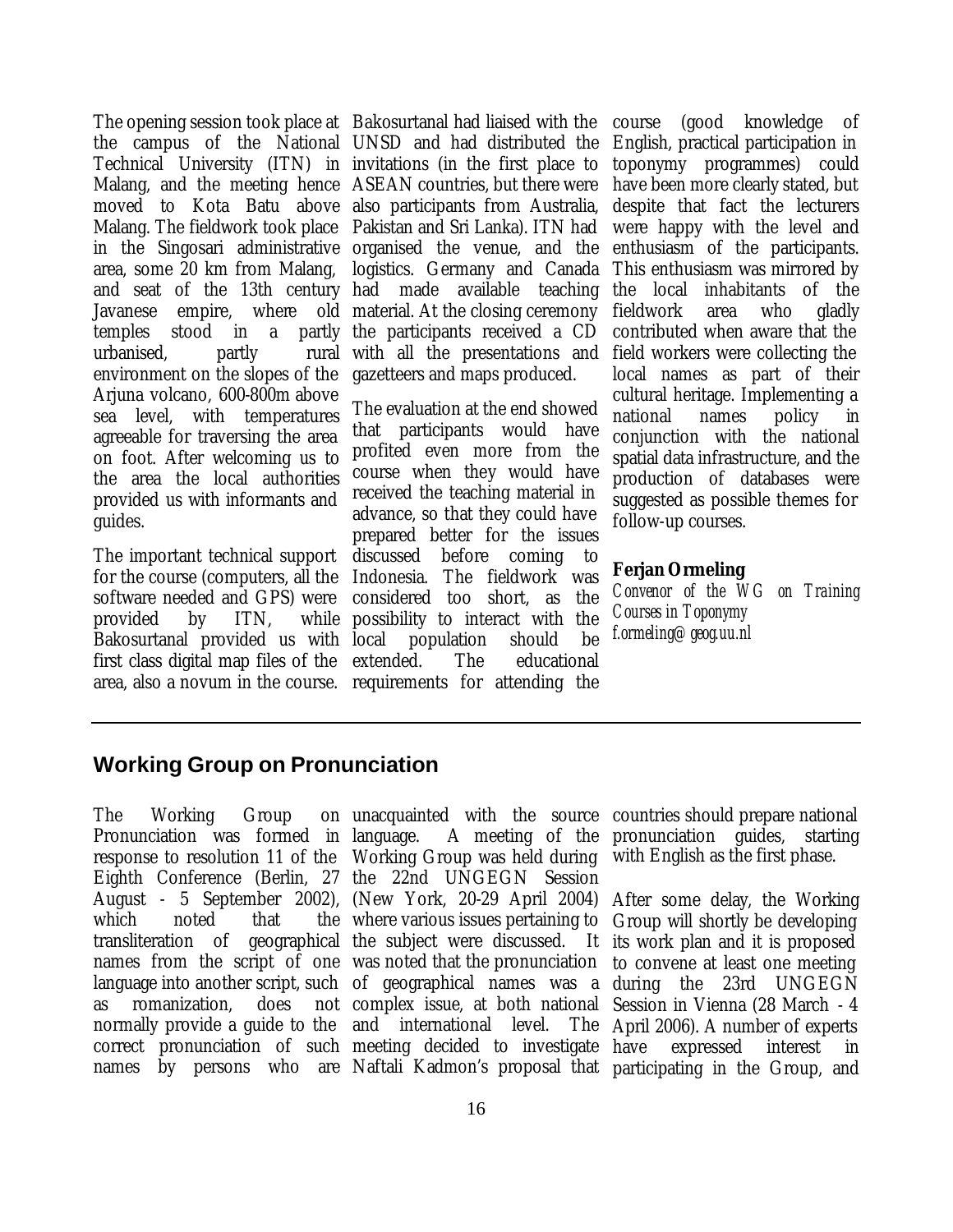The opening session took place at Bakosurtanal had liaised with the the campus of the National UNSD and had distributed the Technical University (ITN) in invitations (in the first place to Malang, and the meeting hence ASEAN countries, but there were moved to Kota Batu above also participants from Australia, Malang. The fieldwork took place Pakistan and Sri Lanka). ITN had in the Singosari administrative organised the venue, and the area, some 20 km from Malang, and seat of the 13th century had made available teaching Javanese empire, where old material. At the closing ceremony temples stood in a partly urbanised. partly environment on the slopes of the Arjuna volcano, 600-800m above sea level, with temperatures agreeable for traversing the area on foot. After welcoming us to the area the local authorities provided us with informants and guides.

The important technical support for the course (computers, all the software needed and GPS) were provided by ITN. Bakosurtanal provided us with local population should be first class digital map files of the extended. The educational area, also a novum in the course. requirements for attending the

logistics. Germany and Canada the participants received a CD with all the presentations and gazetteers and maps produced.

The evaluation at the end showed that participants would have profited even more from the course when they would have received the teaching material in advance, so that they could have prepared better for the issues discussed before coming to Indonesia. The fieldwork was considered too short, as the while possibility to interact with the

course (good knowledge of English, practical participation in toponymy programmes) could have been more clearly stated, but despite that fact the lecturers were happy with the level and enthusiasm of the participants. This enthusiasm was mirrored by the local inhabitants of the fieldwork area who gladly contributed when aware that the field workers were collecting the local names as part of their cultural heritage. Implementing a national names policy in conjunction with the national spatial data infrastructure, and the production of databases were suggested as possible themes for follow-up courses.

#### **Ferjan Ormeling**

*Convenor of the WG on Training Courses in Toponymy f.ormeling@geog.uu.nl*

#### **Working Group on Pronunciation**

The Working Group Pronunciation was formed in Eighth Conference (Berlin, 27 the 22nd UNGEGN Session which noted that transliteration of geographical the subject were discussed. It as romanization, does normally provide a guide to the and international level. The correct pronunciation of such meeting decided to investigate

response to resolution 11 of the Working Group was held during August - 5 September 2002), (New York, 20-29 April 2004) After some delay, the Working names from the script of one was noted that the pronunciation language into another script, such of geographical names was a during the 23rd UNGEGN language. A meeting of the pronunciation guides, starting where various issues pertaining to complex issue, at both national Session in Vienna (28 March - 4

unacquainted with the source countries should prepare national with English as the first phase.

names by persons who are Naftali Kadmon's proposal that participating in the Group, andGroup will shortly be developing It its work plan and it is proposed to convene at least one meeting The April 2006). A number of experts expressed interest in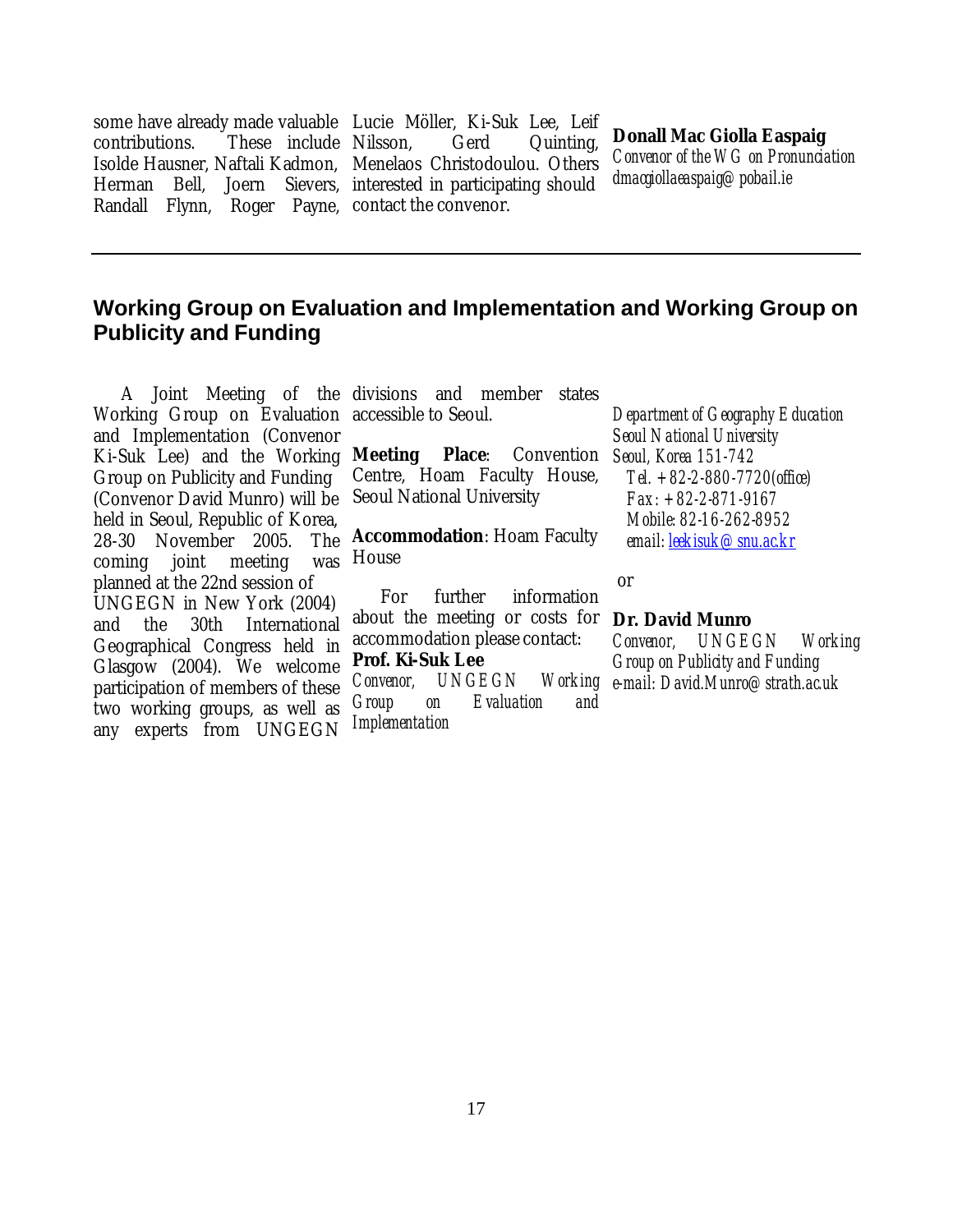some have already made valuable Lucie Möller, Ki-Suk Lee, Leif contributions. These include Isolde Hausner, Naftali Kadmon, Menelaos Christodoulou. Others Herman Bell. Joern Randall Flynn, Roger Payne, contact the convenor. Gerd Quinting, Sievers, interested in participating should

#### **Donall Mac Giolla Easpaig**

*Convenor of the WG on Pronunciation dmacgiollaeaspaig@pobail.ie*

#### **Working Group on Evaluation and Implementation and Working Group on Publicity and Funding**

Working Group on Evaluation accessible to Seoul. and Implementation (Convenor Ki-Suk Lee) and the Working **Meeting** Group on Publicity and Funding (Convenor David Munro) will be held in Seoul, Republic of Korea, 28-30 November 2005. The coming joint meeting planned at the 22nd session of UNGEGN in New York (2004) and the 30th International Geographical Congress held in Glasgow (2004). We welcome participation of members of these two working groups, as well as any experts from UNGEGN

A Joint Meeting of the divisions and member states

**Meeting Place**: Convention *Seoul, Korea 151-742*  Centre, Hoam Faculty House, Seoul National University

**Accommodation**: Hoam Faculty was House

> For further information about the meeting or costs for **Dr. David Munro** accommodation please contact: **Prof. Ki-Suk Lee**  *Convenor, UNGEGN Group on Evaluation and Implementation*

*Department of Geography Education Seoul National University Tel. +82-2-880-7720(office) Fax: +82-2-871-9167 Mobile: 82-16-262-8952 email: leekisuk@snu.ac.kr*

#### or

*Convenor, UNGEGN Working Group on Publicity and Funding e-mail: David.Munro@strath.ac.uk*